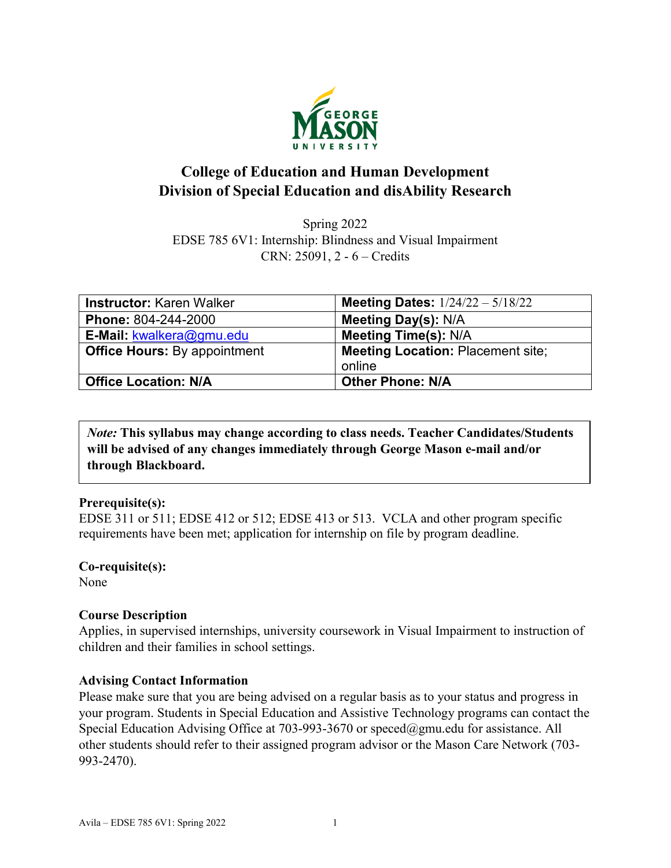

## **College of Education and Human Development Division of Special Education and disAbility Research**

Spring 2022 EDSE 785 6V1: Internship: Blindness and Visual Impairment CRN: 25091, 2 - 6 – Credits

| <b>Instructor: Karen Walker</b>     | <b>Meeting Dates:</b> $1/24/22 - 5/18/22$ |
|-------------------------------------|-------------------------------------------|
| Phone: 804-244-2000                 | <b>Meeting Day(s): N/A</b>                |
| E-Mail: kwalkera@gmu.edu            | <b>Meeting Time(s): N/A</b>               |
| <b>Office Hours: By appointment</b> | <b>Meeting Location: Placement site;</b>  |
|                                     | online                                    |
| <b>Office Location: N/A</b>         | <b>Other Phone: N/A</b>                   |

*Note:* **This syllabus may change according to class needs. Teacher Candidates/Students will be advised of any changes immediately through George Mason e-mail and/or through Blackboard.**

### **Prerequisite(s):**

EDSE 311 or 511; EDSE 412 or 512; EDSE 413 or 513. VCLA and other program specific requirements have been met; application for internship on file by program deadline.

# **Co-requisite(s):**

None

### **Course Description**

Applies, in supervised internships, university coursework in Visual Impairment to instruction of children and their families in school settings.

### **Advising Contact Information**

Please make sure that you are being advised on a regular basis as to your status and progress in your program. Students in Special Education and Assistive Technology programs can contact the Special Education Advising Office at 703-993-3670 or [speced@gmu.edu](mailto:speced@gmu.edu) for assistance. All other students should refer to their assigned program advisor or the Mason Care Network (703- 993-2470).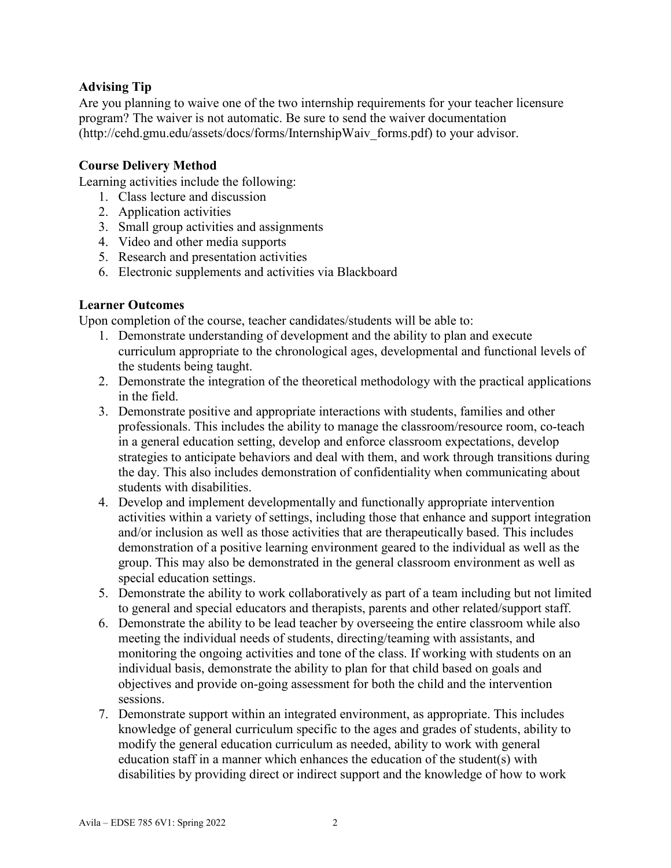### **Advising Tip**

Are you planning to waive one of the two internship requirements for your teacher licensure program? The waiver is not automatic. Be sure to send the waiver documentation (http://cehd.gmu.edu/assets/docs/forms/InternshipWaiv\_forms.pdf) to your advisor.

### **Course Delivery Method**

Learning activities include the following:

- 1. Class lecture and discussion
- 2. Application activities
- 3. Small group activities and assignments
- 4. Video and other media supports
- 5. Research and presentation activities
- 6. Electronic supplements and activities via Blackboard

### **Learner Outcomes**

Upon completion of the course, teacher candidates/students will be able to:

- 1. Demonstrate understanding of development and the ability to plan and execute curriculum appropriate to the chronological ages, developmental and functional levels of the students being taught.
- 2. Demonstrate the integration of the theoretical methodology with the practical applications in the field.
- 3. Demonstrate positive and appropriate interactions with students, families and other professionals. This includes the ability to manage the classroom/resource room, co-teach in a general education setting, develop and enforce classroom expectations, develop strategies to anticipate behaviors and deal with them, and work through transitions during the day. This also includes demonstration of confidentiality when communicating about students with disabilities.
- 4. Develop and implement developmentally and functionally appropriate intervention activities within a variety of settings, including those that enhance and support integration and/or inclusion as well as those activities that are therapeutically based. This includes demonstration of a positive learning environment geared to the individual as well as the group. This may also be demonstrated in the general classroom environment as well as special education settings.
- 5. Demonstrate the ability to work collaboratively as part of a team including but not limited to general and special educators and therapists, parents and other related/support staff.
- 6. Demonstrate the ability to be lead teacher by overseeing the entire classroom while also meeting the individual needs of students, directing/teaming with assistants, and monitoring the ongoing activities and tone of the class. If working with students on an individual basis, demonstrate the ability to plan for that child based on goals and objectives and provide on-going assessment for both the child and the intervention sessions.
- 7. Demonstrate support within an integrated environment, as appropriate. This includes knowledge of general curriculum specific to the ages and grades of students, ability to modify the general education curriculum as needed, ability to work with general education staff in a manner which enhances the education of the student(s) with disabilities by providing direct or indirect support and the knowledge of how to work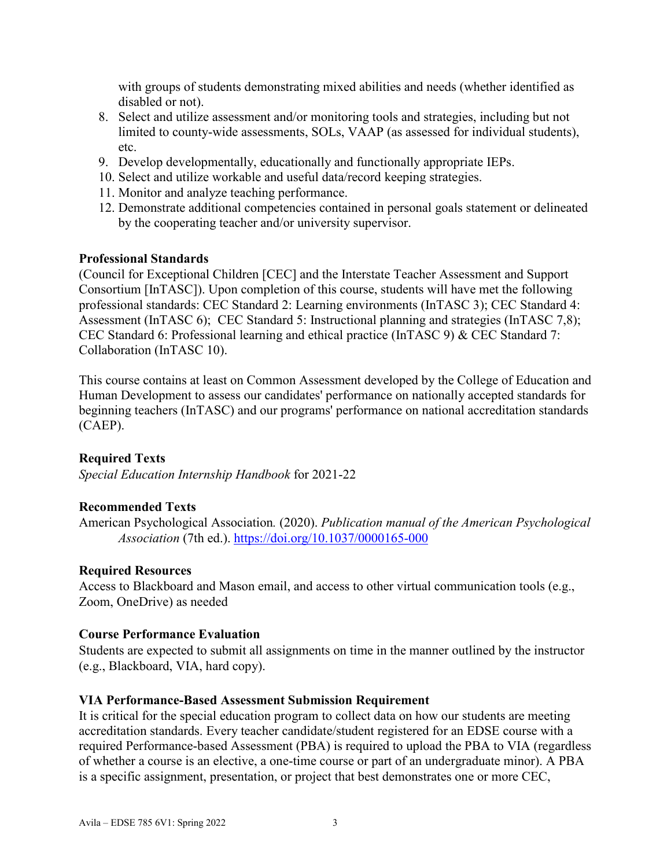with groups of students demonstrating mixed abilities and needs (whether identified as disabled or not).

- 8. Select and utilize assessment and/or monitoring tools and strategies, including but not limited to county-wide assessments, SOLs, VAAP (as assessed for individual students), etc.
- 9. Develop developmentally, educationally and functionally appropriate IEPs.
- 10. Select and utilize workable and useful data/record keeping strategies.
- 11. Monitor and analyze teaching performance.
- 12. Demonstrate additional competencies contained in personal goals statement or delineated by the cooperating teacher and/or university supervisor.

#### **Professional Standards**

(Council for Exceptional Children [CEC] and the Interstate Teacher Assessment and Support Consortium [InTASC]). Upon completion of this course, students will have met the following professional standards: CEC Standard 2: Learning environments (InTASC 3); CEC Standard 4: Assessment (InTASC 6); CEC Standard 5: Instructional planning and strategies (InTASC 7,8); CEC Standard 6: Professional learning and ethical practice (InTASC 9) & CEC Standard 7: Collaboration (InTASC 10).

This course contains at least on Common Assessment developed by the College of Education and Human Development to assess our candidates' performance on nationally accepted standards for beginning teachers (InTASC) and our programs' performance on national accreditation standards (CAEP).

#### **Required Texts**

*Special Education Internship Handbook* for 2021-22

#### **Recommended Texts**

American Psychological Association*.* (2020). *Publication manual of the American Psychological Association* (7th ed.). <https://doi.org/10.1037/0000165-000>

#### **Required Resources**

Access to Blackboard and Mason email, and access to other virtual communication tools (e.g., Zoom, OneDrive) as needed

#### **Course Performance Evaluation**

Students are expected to submit all assignments on time in the manner outlined by the instructor (e.g., Blackboard, VIA, hard copy).

#### **VIA Performance-Based Assessment Submission Requirement**

It is critical for the special education program to collect data on how our students are meeting accreditation standards. Every teacher candidate/student registered for an EDSE course with a required Performance-based Assessment (PBA) is required to upload the PBA to VIA (regardless of whether a course is an elective, a one-time course or part of an undergraduate minor). A PBA is a specific assignment, presentation, or project that best demonstrates one or more CEC,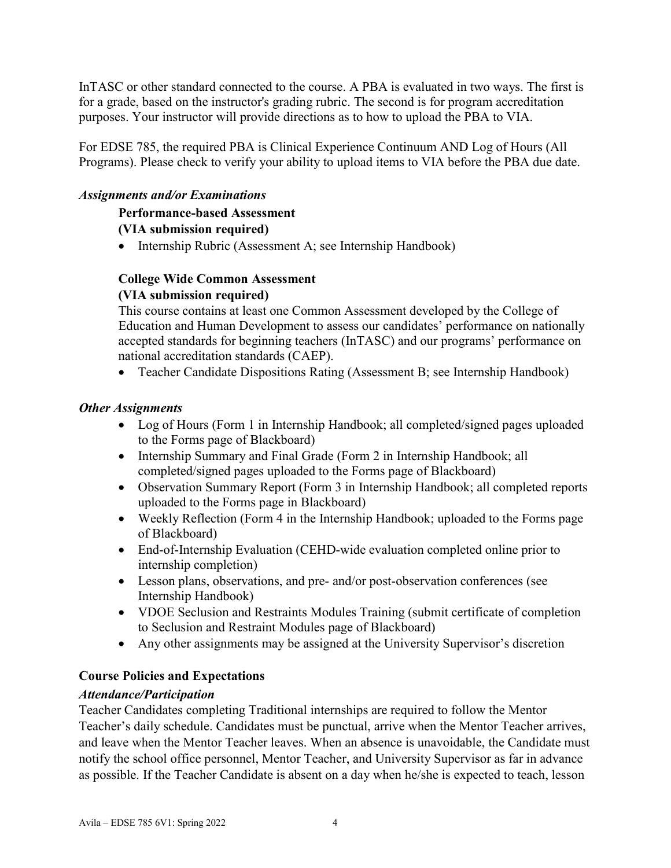InTASC or other standard connected to the course. A PBA is evaluated in two ways. The first is for a grade, based on the instructor's grading rubric. The second is for program accreditation purposes. Your instructor will provide directions as to how to upload the PBA to VIA.

For EDSE 785, the required PBA is Clinical Experience Continuum AND Log of Hours (All Programs). Please check to verify your ability to upload items to VIA before the PBA due date.

### *Assignments and/or Examinations*

**Performance-based Assessment**

### **(VIA submission required)**

• Internship Rubric (Assessment A; see Internship Handbook)

### **College Wide Common Assessment (VIA submission required)**

This course contains at least one Common Assessment developed by the College of Education and Human Development to assess our candidates' performance on nationally accepted standards for beginning teachers (InTASC) and our programs' performance on national accreditation standards (CAEP).

• Teacher Candidate Dispositions Rating (Assessment B; see Internship Handbook)

### *Other Assignments*

- Log of Hours (Form 1 in Internship Handbook; all completed/signed pages uploaded to the Forms page of Blackboard)
- Internship Summary and Final Grade (Form 2 in Internship Handbook; all completed/signed pages uploaded to the Forms page of Blackboard)
- Observation Summary Report (Form 3 in Internship Handbook; all completed reports uploaded to the Forms page in Blackboard)
- Weekly Reflection (Form 4 in the Internship Handbook; uploaded to the Forms page of Blackboard)
- End-of-Internship Evaluation (CEHD-wide evaluation completed online prior to internship completion)
- Lesson plans, observations, and pre- and/or post-observation conferences (see Internship Handbook)
- VDOE Seclusion and Restraints Modules Training (submit certificate of completion to Seclusion and Restraint Modules page of Blackboard)
- Any other assignments may be assigned at the University Supervisor's discretion

### **Course Policies and Expectations**

### *Attendance/Participation*

Teacher Candidates completing Traditional internships are required to follow the Mentor Teacher's daily schedule. Candidates must be punctual, arrive when the Mentor Teacher arrives, and leave when the Mentor Teacher leaves. When an absence is unavoidable, the Candidate must notify the school office personnel, Mentor Teacher, and University Supervisor as far in advance as possible. If the Teacher Candidate is absent on a day when he/she is expected to teach, lesson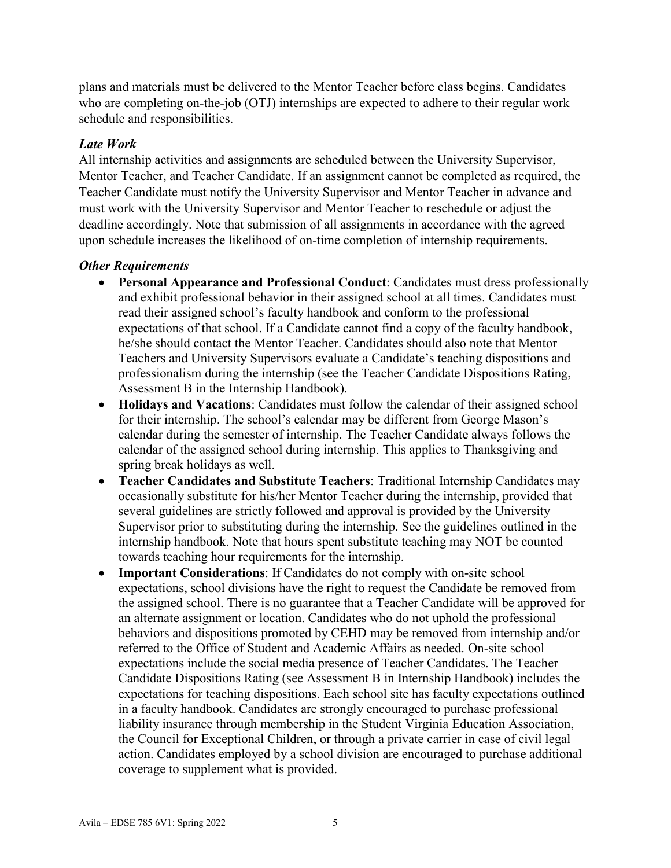plans and materials must be delivered to the Mentor Teacher before class begins. Candidates who are completing on-the-job (OTJ) internships are expected to adhere to their regular work schedule and responsibilities.

#### *Late Work*

All internship activities and assignments are scheduled between the University Supervisor, Mentor Teacher, and Teacher Candidate. If an assignment cannot be completed as required, the Teacher Candidate must notify the University Supervisor and Mentor Teacher in advance and must work with the University Supervisor and Mentor Teacher to reschedule or adjust the deadline accordingly. Note that submission of all assignments in accordance with the agreed upon schedule increases the likelihood of on-time completion of internship requirements.

#### *Other Requirements*

- **Personal Appearance and Professional Conduct**: Candidates must dress professionally and exhibit professional behavior in their assigned school at all times. Candidates must read their assigned school's faculty handbook and conform to the professional expectations of that school. If a Candidate cannot find a copy of the faculty handbook, he/she should contact the Mentor Teacher. Candidates should also note that Mentor Teachers and University Supervisors evaluate a Candidate's teaching dispositions and professionalism during the internship (see the Teacher Candidate Dispositions Rating, Assessment B in the Internship Handbook).
- **Holidays and Vacations**: Candidates must follow the calendar of their assigned school for their internship. The school's calendar may be different from George Mason's calendar during the semester of internship. The Teacher Candidate always follows the calendar of the assigned school during internship. This applies to Thanksgiving and spring break holidays as well.
- **Teacher Candidates and Substitute Teachers**: Traditional Internship Candidates may occasionally substitute for his/her Mentor Teacher during the internship, provided that several guidelines are strictly followed and approval is provided by the University Supervisor prior to substituting during the internship. See the guidelines outlined in the internship handbook. Note that hours spent substitute teaching may NOT be counted towards teaching hour requirements for the internship.
- **Important Considerations**: If Candidates do not comply with on-site school expectations, school divisions have the right to request the Candidate be removed from the assigned school. There is no guarantee that a Teacher Candidate will be approved for an alternate assignment or location. Candidates who do not uphold the professional behaviors and dispositions promoted by CEHD may be removed from internship and/or referred to the Office of Student and Academic Affairs as needed. On-site school expectations include the social media presence of Teacher Candidates. The Teacher Candidate Dispositions Rating (see Assessment B in Internship Handbook) includes the expectations for teaching dispositions. Each school site has faculty expectations outlined in a faculty handbook. Candidates are strongly encouraged to purchase professional liability insurance through membership in the Student Virginia Education Association, the Council for Exceptional Children, or through a private carrier in case of civil legal action. Candidates employed by a school division are encouraged to purchase additional coverage to supplement what is provided.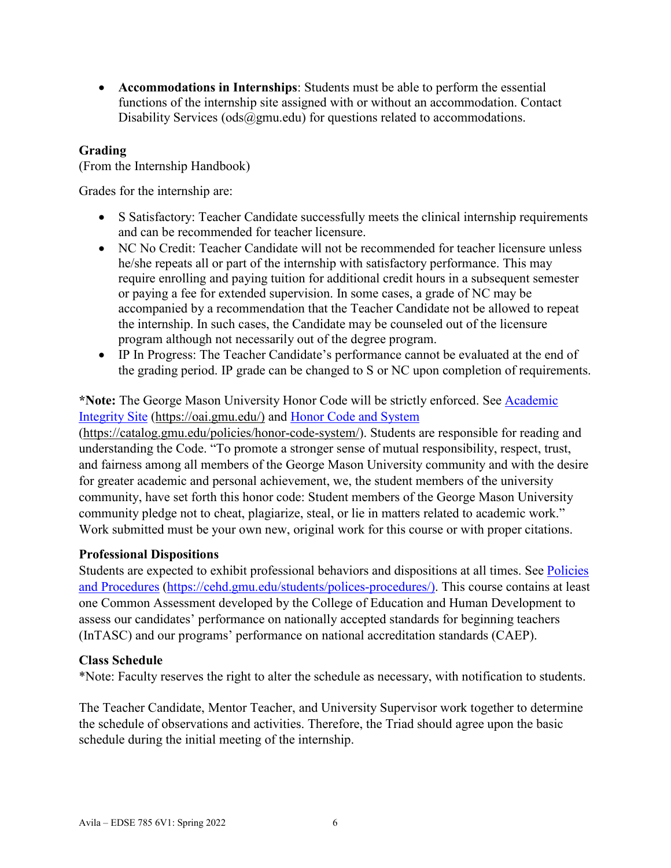• **Accommodations in Internships**: Students must be able to perform the essential functions of the internship site assigned with or without an accommodation. Contact Disability Services ( $\text{ods}(\hat{\omega})$ gmu.edu) for questions related to accommodations.

### **Grading**

(From the Internship Handbook)

Grades for the internship are:

- S Satisfactory: Teacher Candidate successfully meets the clinical internship requirements and can be recommended for teacher licensure.
- NC No Credit: Teacher Candidate will not be recommended for teacher licensure unless he/she repeats all or part of the internship with satisfactory performance. This may require enrolling and paying tuition for additional credit hours in a subsequent semester or paying a fee for extended supervision. In some cases, a grade of NC may be accompanied by a recommendation that the Teacher Candidate not be allowed to repeat the internship. In such cases, the Candidate may be counseled out of the licensure program although not necessarily out of the degree program.
- IP In Progress: The Teacher Candidate's performance cannot be evaluated at the end of the grading period. IP grade can be changed to S or NC upon completion of requirements.

### **\*Note:** The George Mason University Honor Code will be strictly enforced. See [Academic](https://oai.gmu.edu/)  [Integrity Site](https://oai.gmu.edu/) [\(https://oai.gmu.edu/\)](https://oai.gmu.edu/) and [Honor Code and System](https://catalog.gmu.edu/policies/honor-code-system/)

[\(https://catalog.gmu.edu/policies/honor-code-system/\)](https://catalog.gmu.edu/policies/honor-code-system/). Students are responsible for reading and understanding the Code. "To promote a stronger sense of mutual responsibility, respect, trust, and fairness among all members of the George Mason University community and with the desire for greater academic and personal achievement, we, the student members of the university community, have set forth this honor code: Student members of the George Mason University community pledge not to cheat, plagiarize, steal, or lie in matters related to academic work." Work submitted must be your own new, original work for this course or with proper citations.

### **Professional Dispositions**

Students are expected to exhibit professional behaviors and dispositions at all times. See [Policies](https://cehd.gmu.edu/students/polices-procedures/)  [and Procedures](https://cehd.gmu.edu/students/polices-procedures/) [\(https://cehd.gmu.edu/students/polices-procedures/\)](https://cehd.gmu.edu/students/polices-procedures/). This course contains at least one Common Assessment developed by the College of Education and Human Development to assess our candidates' performance on nationally accepted standards for beginning teachers (InTASC) and our programs' performance on national accreditation standards (CAEP).

#### **Class Schedule**

\*Note: Faculty reserves the right to alter the schedule as necessary, with notification to students.

The Teacher Candidate, Mentor Teacher, and University Supervisor work together to determine the schedule of observations and activities. Therefore, the Triad should agree upon the basic schedule during the initial meeting of the internship.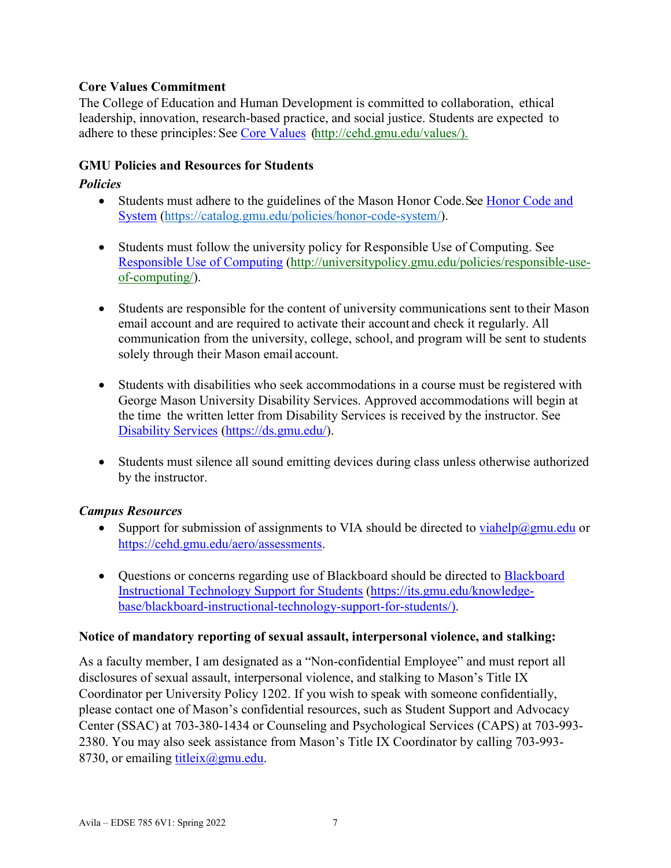### **Core Values Commitment**

The College of Education and Human Development is committed to collaboration, ethical leadership, innovation, research-based practice, and social justice. Students are expected to adhere to these principles: See [Core Values](http://cehd.gmu.edu/values/) [\(http://cehd.gmu.edu/values/\)](http://cehd.gmu.edu/values/).

### **GMU Policies and Resources for Students**

### *Policies*

- Students must adhere to the guidelines of the Mason Honor Code. See Honor Code and [System](https://catalog.gmu.edu/policies/honor-code-system/) [\(https://catalog.gmu.edu/policies/honor-code-system/\)](https://catalog.gmu.edu/policies/honor-code-system/).
- Students must follow the university policy for Responsible Use of Computing. See [Responsible Use of Computing](http://universitypolicy.gmu.edu/policies/responsible-use-of-computing/) [\(http://universitypolicy.gmu.edu/policies/responsible-use](http://universitypolicy.gmu.edu/policies/responsible-use-of-computing/)[of-computing/\)](http://universitypolicy.gmu.edu/policies/responsible-use-of-computing/).
- Students are responsible for the content of university communications sent to their Mason email account and are required to activate their account and check it regularly. All communication from the university, college, school, and program will be sent to students solely through their Mason email account.
- Students with disabilities who seek accommodations in a course must be registered with George Mason University Disability Services. Approved accommodations will begin at the time the written letter from Disability Services is received by the instructor. See [Disability Services](https://ds.gmu.edu/) [\(https://ds.gmu.edu/\)](https://ds.gmu.edu/).
- Students must silence all sound emitting devices during class unless otherwise authorized by the instructor.

### *Campus Resources*

- Support for submission of assignments to VIA should be directed to  $viahelp@gmu.edu$  or</u> [https://cehd.gmu.edu/aero/assessments.](https://cehd.gmu.edu/aero/assessments)
- Questions or concerns regarding use of [Blackboard](https://its.gmu.edu/knowledge-base/blackboard-instructional-technology-support-for-students/) should be directed to Blackboard [Instructional Technology Support for Students](https://its.gmu.edu/knowledge-base/blackboard-instructional-technology-support-for-students/) [\(https://its.gmu.edu/knowledge](https://its.gmu.edu/knowledge-base/blackboard-instructional-technology-support-for-students/)[base/blackboard-instructional-technology-support-for-students/\)](https://its.gmu.edu/knowledge-base/blackboard-instructional-technology-support-for-students/).

### **Notice of mandatory reporting of sexual assault, interpersonal violence, and stalking:**

As a faculty member, I am designated as a "Non-confidential Employee" and must report all disclosures of sexual assault, interpersonal violence, and stalking to Mason's Title IX Coordinator per University Policy 1202. If you wish to speak with someone confidentially, please contact one of Mason's confidential resources, such as Student Support and Advocacy Center (SSAC) at 703-380-1434 or Counseling and Psychological Services (CAPS) at 703-993- 2380. You may also seek assistance from Mason's Title IX Coordinator by calling 703-993- 8730, or emailing titleix $(\omega$ gmu.edu.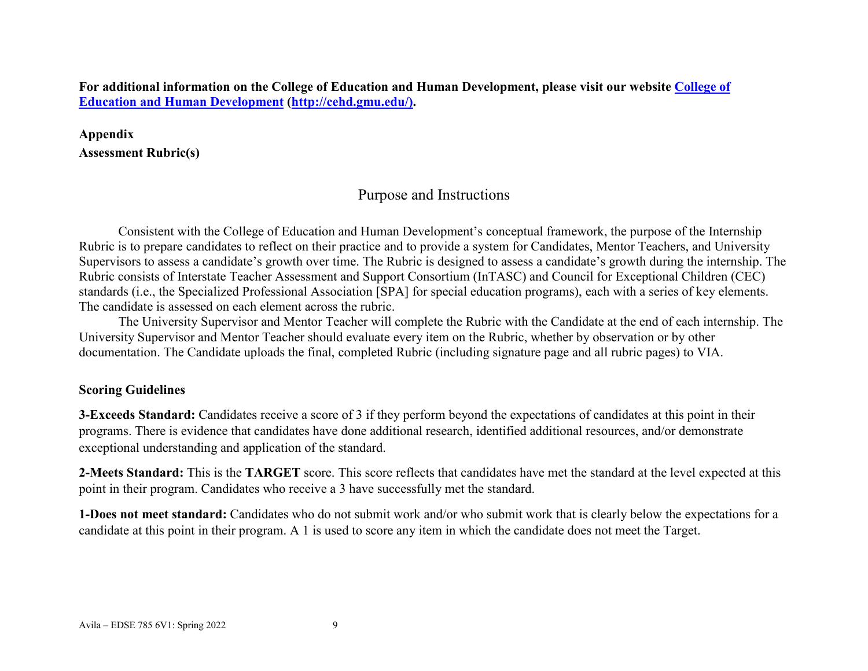**For additional information on the College of Education and Human Development, please visit our website [College of](http://cehd.gmu.edu/)  [Education and Human Development](http://cehd.gmu.edu/) [\(http://cehd.gmu.edu/\)](https://cehd.gmu.edu/).**

**Appendix Assessment Rubric(s)**

### Purpose and Instructions

Consistent with the College of Education and Human Development's conceptual framework, the purpose of the Internship Rubric is to prepare candidates to reflect on their practice and to provide a system for Candidates, Mentor Teachers, and University Supervisors to assess a candidate's growth over time. The Rubric is designed to assess a candidate's growth during the internship. The Rubric consists of Interstate Teacher Assessment and Support Consortium (InTASC) and Council for Exceptional Children (CEC) standards (i.e., the Specialized Professional Association [SPA] for special education programs), each with a series of key elements. The candidate is assessed on each element across the rubric.

The University Supervisor and Mentor Teacher will complete the Rubric with the Candidate at the end of each internship. The University Supervisor and Mentor Teacher should evaluate every item on the Rubric, whether by observation or by other documentation. The Candidate uploads the final, completed Rubric (including signature page and all rubric pages) to VIA.

#### **Scoring Guidelines**

**3-Exceeds Standard:** Candidates receive a score of 3 if they perform beyond the expectations of candidates at this point in their programs. There is evidence that candidates have done additional research, identified additional resources, and/or demonstrate exceptional understanding and application of the standard.

**2-Meets Standard:** This is the **TARGET** score. This score reflects that candidates have met the standard at the level expected at this point in their program. Candidates who receive a 3 have successfully met the standard.

**1-Does not meet standard:** Candidates who do not submit work and/or who submit work that is clearly below the expectations for a candidate at this point in their program. A 1 is used to score any item in which the candidate does not meet the Target.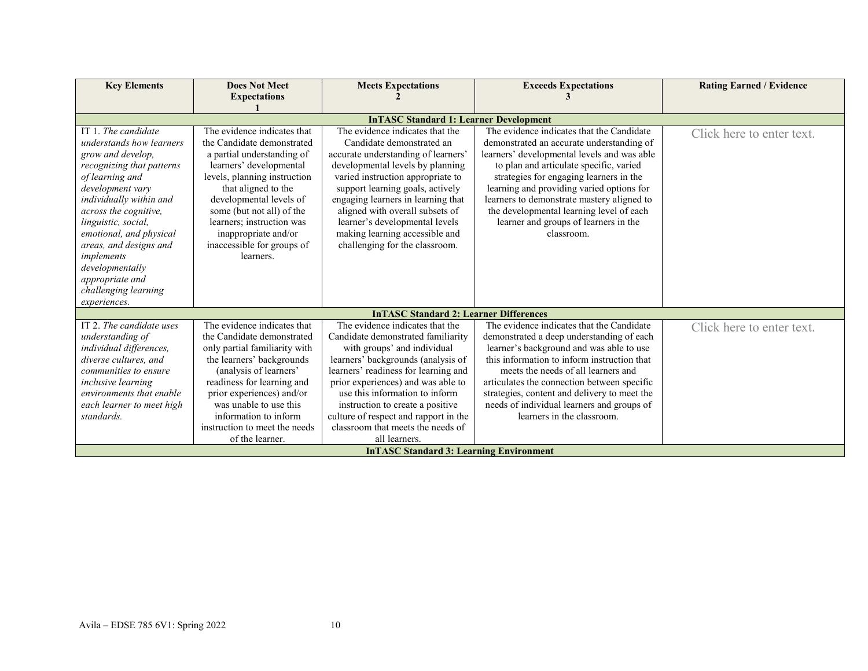| <b>Key Elements</b>       | <b>Does Not Meet</b><br><b>Expectations</b> | <b>Meets Expectations</b>                      | <b>Exceeds Expectations</b>                  | <b>Rating Earned / Evidence</b> |  |  |  |
|---------------------------|---------------------------------------------|------------------------------------------------|----------------------------------------------|---------------------------------|--|--|--|
|                           |                                             |                                                |                                              |                                 |  |  |  |
|                           |                                             | <b>InTASC Standard 1: Learner Development</b>  |                                              |                                 |  |  |  |
| IT 1. The candidate       | The evidence indicates that                 | The evidence indicates that the                | The evidence indicates that the Candidate    | Click here to enter text.       |  |  |  |
| understands how learners  | the Candidate demonstrated                  | Candidate demonstrated an                      | demonstrated an accurate understanding of    |                                 |  |  |  |
| grow and develop,         | a partial understanding of                  | accurate understanding of learners'            | learners' developmental levels and was able  |                                 |  |  |  |
| recognizing that patterns | learners' developmental                     | developmental levels by planning               | to plan and articulate specific, varied      |                                 |  |  |  |
| of learning and           | levels, planning instruction                | varied instruction appropriate to              | strategies for engaging learners in the      |                                 |  |  |  |
| development vary          | that aligned to the                         | support learning goals, actively               | learning and providing varied options for    |                                 |  |  |  |
| individually within and   | developmental levels of                     | engaging learners in learning that             | learners to demonstrate mastery aligned to   |                                 |  |  |  |
| across the cognitive,     | some (but not all) of the                   | aligned with overall subsets of                | the developmental learning level of each     |                                 |  |  |  |
| linguistic, social,       | learners; instruction was                   | learner's developmental levels                 | learner and groups of learners in the        |                                 |  |  |  |
| emotional, and physical   | inappropriate and/or                        | making learning accessible and                 | classroom.                                   |                                 |  |  |  |
| areas, and designs and    | inaccessible for groups of                  | challenging for the classroom.                 |                                              |                                 |  |  |  |
| implements                | learners.                                   |                                                |                                              |                                 |  |  |  |
| developmentally           |                                             |                                                |                                              |                                 |  |  |  |
| appropriate and           |                                             |                                                |                                              |                                 |  |  |  |
| challenging learning      |                                             |                                                |                                              |                                 |  |  |  |
| experiences.              |                                             |                                                |                                              |                                 |  |  |  |
|                           |                                             | <b>InTASC Standard 2: Learner Differences</b>  |                                              |                                 |  |  |  |
| IT 2. The candidate uses  | The evidence indicates that                 | The evidence indicates that the                | The evidence indicates that the Candidate    | Click here to enter text.       |  |  |  |
| understanding of          | the Candidate demonstrated                  | Candidate demonstrated familiarity             | demonstrated a deep understanding of each    |                                 |  |  |  |
| individual differences,   | only partial familiarity with               | with groups' and individual                    | learner's background and was able to use     |                                 |  |  |  |
| diverse cultures, and     | the learners' backgrounds                   | learners' backgrounds (analysis of             | this information to inform instruction that  |                                 |  |  |  |
| communities to ensure     | (analysis of learners'                      | learners' readiness for learning and           | meets the needs of all learners and          |                                 |  |  |  |
| <i>inclusive learning</i> | readiness for learning and                  | prior experiences) and was able to             | articulates the connection between specific  |                                 |  |  |  |
| environments that enable  | prior experiences) and/or                   | use this information to inform                 | strategies, content and delivery to meet the |                                 |  |  |  |
| each learner to meet high | was unable to use this                      | instruction to create a positive               | needs of individual learners and groups of   |                                 |  |  |  |
| standards.                | information to inform                       | culture of respect and rapport in the          | learners in the classroom.                   |                                 |  |  |  |
|                           | instruction to meet the needs               | classroom that meets the needs of              |                                              |                                 |  |  |  |
|                           | of the learner.                             | all learners.                                  |                                              |                                 |  |  |  |
|                           |                                             | <b>InTASC Standard 3: Learning Environment</b> |                                              |                                 |  |  |  |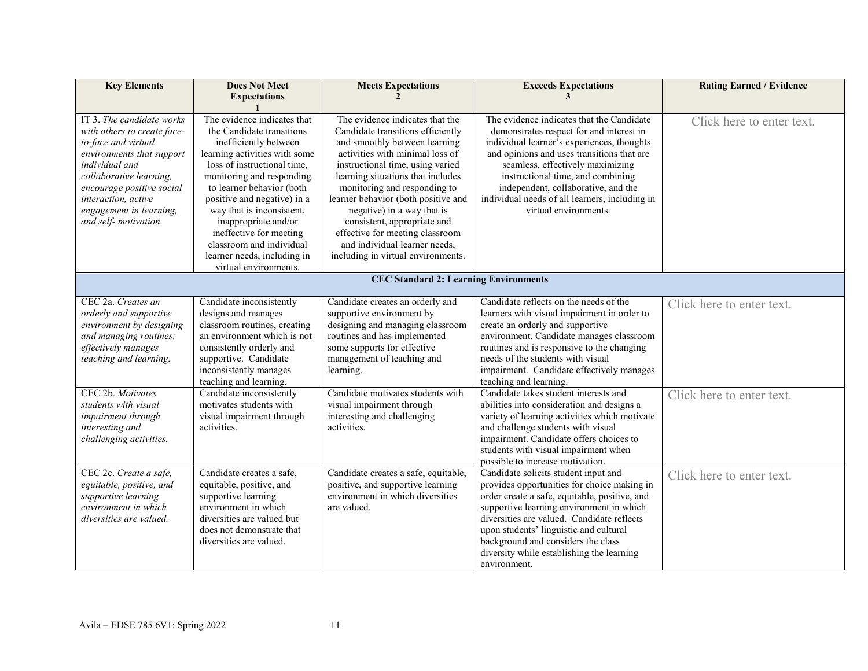| <b>Key Elements</b>                                                                                                                                                                                                                                                  | <b>Does Not Meet</b><br><b>Expectations</b>                                                                                                                                                                                                                                                                                                                                                                    | <b>Meets Expectations</b>                                                                                                                                                                                                                                                                                                                                                                                                                                       | <b>Exceeds Expectations</b><br>3                                                                                                                                                                                                                                                                                                                                                                                                                                                                                                                                                                                                     | <b>Rating Earned / Evidence</b>                        |  |
|----------------------------------------------------------------------------------------------------------------------------------------------------------------------------------------------------------------------------------------------------------------------|----------------------------------------------------------------------------------------------------------------------------------------------------------------------------------------------------------------------------------------------------------------------------------------------------------------------------------------------------------------------------------------------------------------|-----------------------------------------------------------------------------------------------------------------------------------------------------------------------------------------------------------------------------------------------------------------------------------------------------------------------------------------------------------------------------------------------------------------------------------------------------------------|--------------------------------------------------------------------------------------------------------------------------------------------------------------------------------------------------------------------------------------------------------------------------------------------------------------------------------------------------------------------------------------------------------------------------------------------------------------------------------------------------------------------------------------------------------------------------------------------------------------------------------------|--------------------------------------------------------|--|
| IT 3. The candidate works<br>with others to create face-<br>to-face and virtual<br>environments that support<br>individual and<br>collaborative learning,<br>encourage positive social<br>interaction, active<br>engagement in learning,<br>and self-motivation.     | The evidence indicates that<br>the Candidate transitions<br>inefficiently between<br>learning activities with some<br>loss of instructional time,<br>monitoring and responding<br>to learner behavior (both<br>positive and negative) in a<br>way that is inconsistent,<br>inappropriate and/or<br>ineffective for meeting<br>classroom and individual<br>learner needs, including in<br>virtual environments. | The evidence indicates that the<br>Candidate transitions efficiently<br>and smoothly between learning<br>activities with minimal loss of<br>instructional time, using varied<br>learning situations that includes<br>monitoring and responding to<br>learner behavior (both positive and<br>negative) in a way that is<br>consistent, appropriate and<br>effective for meeting classroom<br>and individual learner needs,<br>including in virtual environments. | The evidence indicates that the Candidate<br>demonstrates respect for and interest in<br>individual learner's experiences, thoughts<br>and opinions and uses transitions that are<br>seamless, effectively maximizing<br>instructional time, and combining<br>independent, collaborative, and the<br>individual needs of all learners, including in<br>virtual environments.                                                                                                                                                                                                                                                         | Click here to enter text.                              |  |
| <b>CEC Standard 2: Learning Environments</b>                                                                                                                                                                                                                         |                                                                                                                                                                                                                                                                                                                                                                                                                |                                                                                                                                                                                                                                                                                                                                                                                                                                                                 |                                                                                                                                                                                                                                                                                                                                                                                                                                                                                                                                                                                                                                      |                                                        |  |
| CEC 2a. Creates an<br>orderly and supportive<br>environment by designing<br>and managing routines;<br>effectively manages<br>teaching and learning.<br>CEC 2b. Motivates<br>students with visual<br>impairment through<br>interesting and<br>challenging activities. | Candidate inconsistently<br>designs and manages<br>classroom routines, creating<br>an environment which is not<br>consistently orderly and<br>supportive. Candidate<br>inconsistently manages<br>teaching and learning.<br>Candidate inconsistently<br>motivates students with<br>visual impairment through<br>activities.                                                                                     | Candidate creates an orderly and<br>supportive environment by<br>designing and managing classroom<br>routines and has implemented<br>some supports for effective<br>management of teaching and<br>learning.<br>Candidate motivates students with<br>visual impairment through<br>interesting and challenging<br>activities.                                                                                                                                     | Candidate reflects on the needs of the<br>learners with visual impairment in order to<br>create an orderly and supportive<br>environment. Candidate manages classroom<br>routines and is responsive to the changing<br>needs of the students with visual<br>impairment. Candidate effectively manages<br>teaching and learning.<br>Candidate takes student interests and<br>abilities into consideration and designs a<br>variety of learning activities which motivate<br>and challenge students with visual<br>impairment. Candidate offers choices to<br>students with visual impairment when<br>possible to increase motivation. | Click here to enter text.<br>Click here to enter text. |  |
| CEC 2c. Create a safe,<br>equitable, positive, and<br>supportive learning<br>environment in which<br>diversities are valued.                                                                                                                                         | Candidate creates a safe,<br>equitable, positive, and<br>supportive learning<br>environment in which<br>diversities are valued but<br>does not demonstrate that<br>diversities are valued.                                                                                                                                                                                                                     | Candidate creates a safe, equitable,<br>positive, and supportive learning<br>environment in which diversities<br>are valued.                                                                                                                                                                                                                                                                                                                                    | Candidate solicits student input and<br>provides opportunities for choice making in<br>order create a safe, equitable, positive, and<br>supportive learning environment in which<br>diversities are valued. Candidate reflects<br>upon students' linguistic and cultural<br>background and considers the class<br>diversity while establishing the learning<br>environment.                                                                                                                                                                                                                                                          | Click here to enter text.                              |  |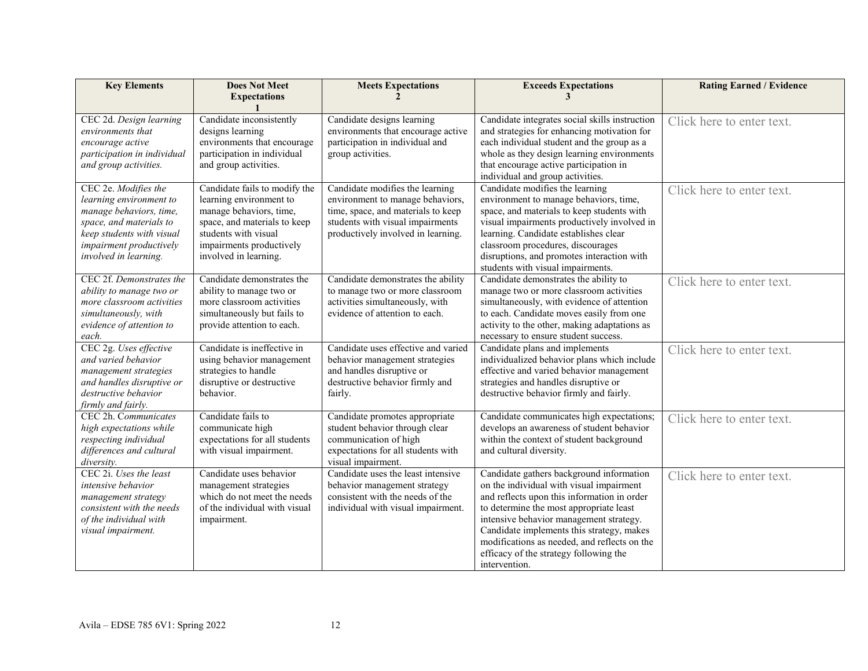| <b>Key Elements</b>                                                                                                                                                                    | <b>Does Not Meet</b><br><b>Expectations</b>                                                                                                                                                      | <b>Meets Expectations</b>                                                                                                                                                           | <b>Exceeds Expectations</b><br>3                                                                                                                                                                                                                                                                                                                                                  | <b>Rating Earned / Evidence</b> |
|----------------------------------------------------------------------------------------------------------------------------------------------------------------------------------------|--------------------------------------------------------------------------------------------------------------------------------------------------------------------------------------------------|-------------------------------------------------------------------------------------------------------------------------------------------------------------------------------------|-----------------------------------------------------------------------------------------------------------------------------------------------------------------------------------------------------------------------------------------------------------------------------------------------------------------------------------------------------------------------------------|---------------------------------|
|                                                                                                                                                                                        |                                                                                                                                                                                                  |                                                                                                                                                                                     |                                                                                                                                                                                                                                                                                                                                                                                   |                                 |
| CEC 2d. Design learning<br>environments that<br>encourage active<br>participation in individual<br>and group activities.                                                               | Candidate inconsistently<br>designs learning<br>environments that encourage<br>participation in individual<br>and group activities.                                                              | Candidate designs learning<br>environments that encourage active<br>participation in individual and<br>group activities.                                                            | Candidate integrates social skills instruction<br>and strategies for enhancing motivation for<br>each individual student and the group as a<br>whole as they design learning environments<br>that encourage active participation in                                                                                                                                               | Click here to enter text.       |
| CEC 2e. Modifies the<br>learning environment to<br>manage behaviors, time,<br>space, and materials to<br>keep students with visual<br>impairment productively<br>involved in learning. | Candidate fails to modify the<br>learning environment to<br>manage behaviors, time,<br>space, and materials to keep<br>students with visual<br>impairments productively<br>involved in learning. | Candidate modifies the learning<br>environment to manage behaviors,<br>time, space, and materials to keep<br>students with visual impairments<br>productively involved in learning. | individual and group activities.<br>Candidate modifies the learning<br>environment to manage behaviors, time,<br>space, and materials to keep students with<br>visual impairments productively involved in<br>learning. Candidate establishes clear<br>classroom procedures, discourages<br>disruptions, and promotes interaction with<br>students with visual impairments.       | Click here to enter text.       |
| CEC 2f. Demonstrates the<br>ability to manage two or<br>more classroom activities<br>simultaneously, with<br>evidence of attention to<br>each.                                         | Candidate demonstrates the<br>ability to manage two or<br>more classroom activities<br>simultaneously but fails to<br>provide attention to each.                                                 | Candidate demonstrates the ability<br>to manage two or more classroom<br>activities simultaneously, with<br>evidence of attention to each.                                          | Candidate demonstrates the ability to<br>manage two or more classroom activities<br>simultaneously, with evidence of attention<br>to each. Candidate moves easily from one<br>activity to the other, making adaptations as<br>necessary to ensure student success.                                                                                                                | Click here to enter text.       |
| CEC 2g. Uses effective<br>and varied behavior<br>management strategies<br>and handles disruptive or<br>destructive behavior<br>firmly and fairly.                                      | Candidate is ineffective in<br>using behavior management<br>strategies to handle<br>disruptive or destructive<br>behavior.                                                                       | Candidate uses effective and varied<br>behavior management strategies<br>and handles disruptive or<br>destructive behavior firmly and<br>fairly.                                    | Candidate plans and implements<br>individualized behavior plans which include<br>effective and varied behavior management<br>strategies and handles disruptive or<br>destructive behavior firmly and fairly.                                                                                                                                                                      | Click here to enter text.       |
| CEC 2h. Communicates<br>high expectations while<br>respecting individual<br>differences and cultural<br>diversity.                                                                     | Candidate fails to<br>communicate high<br>expectations for all students<br>with visual impairment.                                                                                               | Candidate promotes appropriate<br>student behavior through clear<br>communication of high<br>expectations for all students with<br>visual impairment.                               | Candidate communicates high expectations;<br>develops an awareness of student behavior<br>within the context of student background<br>and cultural diversity.                                                                                                                                                                                                                     | Click here to enter text.       |
| CEC 2i. Uses the least<br>intensive behavior<br>management strategy<br>consistent with the needs<br>of the individual with<br>visual impairment.                                       | Candidate uses behavior<br>management strategies<br>which do not meet the needs<br>of the individual with visual<br>impairment.                                                                  | Candidate uses the least intensive<br>behavior management strategy<br>consistent with the needs of the<br>individual with visual impairment.                                        | Candidate gathers background information<br>on the individual with visual impairment<br>and reflects upon this information in order<br>to determine the most appropriate least<br>intensive behavior management strategy.<br>Candidate implements this strategy, makes<br>modifications as needed, and reflects on the<br>efficacy of the strategy following the<br>intervention. | Click here to enter text.       |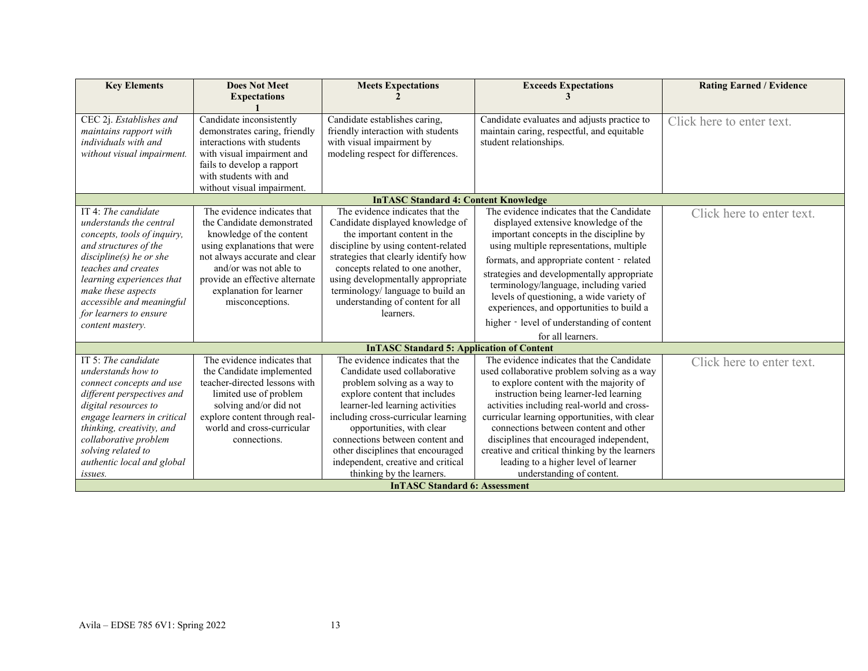| <b>Key Elements</b>                                                                                                                                                                                                                                                                     | <b>Does Not Meet</b><br><b>Expectations</b>                                                                                                                                                                                                                      | <b>Meets Expectations</b>                                                                                                                                                                                                                                                                                                                                                                                                 | <b>Exceeds Expectations</b>                                                                                                                                                                                                                                                                                                                                                                                                                                                              | <b>Rating Earned / Evidence</b> |
|-----------------------------------------------------------------------------------------------------------------------------------------------------------------------------------------------------------------------------------------------------------------------------------------|------------------------------------------------------------------------------------------------------------------------------------------------------------------------------------------------------------------------------------------------------------------|---------------------------------------------------------------------------------------------------------------------------------------------------------------------------------------------------------------------------------------------------------------------------------------------------------------------------------------------------------------------------------------------------------------------------|------------------------------------------------------------------------------------------------------------------------------------------------------------------------------------------------------------------------------------------------------------------------------------------------------------------------------------------------------------------------------------------------------------------------------------------------------------------------------------------|---------------------------------|
| CEC 2j. Establishes and<br>maintains rapport with<br>individuals with and<br>without visual impairment.                                                                                                                                                                                 | Candidate inconsistently<br>demonstrates caring, friendly<br>interactions with students<br>with visual impairment and<br>fails to develop a rapport<br>with students with and<br>without visual impairment.                                                      | Candidate establishes caring,<br>friendly interaction with students<br>with visual impairment by<br>modeling respect for differences.                                                                                                                                                                                                                                                                                     | Candidate evaluates and adjusts practice to<br>maintain caring, respectful, and equitable<br>student relationships.                                                                                                                                                                                                                                                                                                                                                                      | Click here to enter text.       |
|                                                                                                                                                                                                                                                                                         |                                                                                                                                                                                                                                                                  | <b>InTASC Standard 4: Content Knowledge</b>                                                                                                                                                                                                                                                                                                                                                                               |                                                                                                                                                                                                                                                                                                                                                                                                                                                                                          |                                 |
| IT 4: The candidate<br>understands the central<br>concepts, tools of inquiry,<br>and structures of the<br>$discipher(s)$ he or she<br>teaches and creates<br>learning experiences that<br>make these aspects<br>accessible and meaningful<br>for learners to ensure<br>content mastery. | The evidence indicates that<br>the Candidate demonstrated<br>knowledge of the content<br>using explanations that were<br>not always accurate and clear<br>and/or was not able to<br>provide an effective alternate<br>explanation for learner<br>misconceptions. | The evidence indicates that the<br>Candidate displayed knowledge of<br>the important content in the<br>discipline by using content-related<br>strategies that clearly identify how<br>concepts related to one another,<br>using developmentally appropriate<br>terminology/ language to build an<br>understanding of content for all<br>learners.                                                                         | The evidence indicates that the Candidate<br>displayed extensive knowledge of the<br>important concepts in the discipline by<br>using multiple representations, multiple<br>formats, and appropriate content - related<br>strategies and developmentally appropriate<br>terminology/language, including varied<br>levels of questioning, a wide variety of<br>experiences, and opportunities to build a<br>higher - level of understanding of content<br>for all learners.               | Click here to enter text.       |
|                                                                                                                                                                                                                                                                                         |                                                                                                                                                                                                                                                                  | <b>InTASC Standard 5: Application of Content</b>                                                                                                                                                                                                                                                                                                                                                                          |                                                                                                                                                                                                                                                                                                                                                                                                                                                                                          |                                 |
| IT 5: The candidate<br>understands how to<br>connect concepts and use<br>different perspectives and<br>digital resources to<br>engage learners in critical<br>thinking, creativity, and<br>collaborative problem<br>solving related to<br>authentic local and global<br>issues.         | The evidence indicates that<br>the Candidate implemented<br>teacher-directed lessons with<br>limited use of problem<br>solving and/or did not<br>explore content through real-<br>world and cross-curricular<br>connections.                                     | The evidence indicates that the<br>Candidate used collaborative<br>problem solving as a way to<br>explore content that includes<br>learner-led learning activities<br>including cross-curricular learning<br>opportunities, with clear<br>connections between content and<br>other disciplines that encouraged<br>independent, creative and critical<br>thinking by the learners.<br><b>InTASC Standard 6: Assessment</b> | The evidence indicates that the Candidate<br>used collaborative problem solving as a way<br>to explore content with the majority of<br>instruction being learner-led learning<br>activities including real-world and cross-<br>curricular learning opportunities, with clear<br>connections between content and other<br>disciplines that encouraged independent,<br>creative and critical thinking by the learners<br>leading to a higher level of learner<br>understanding of content. | Click here to enter text.       |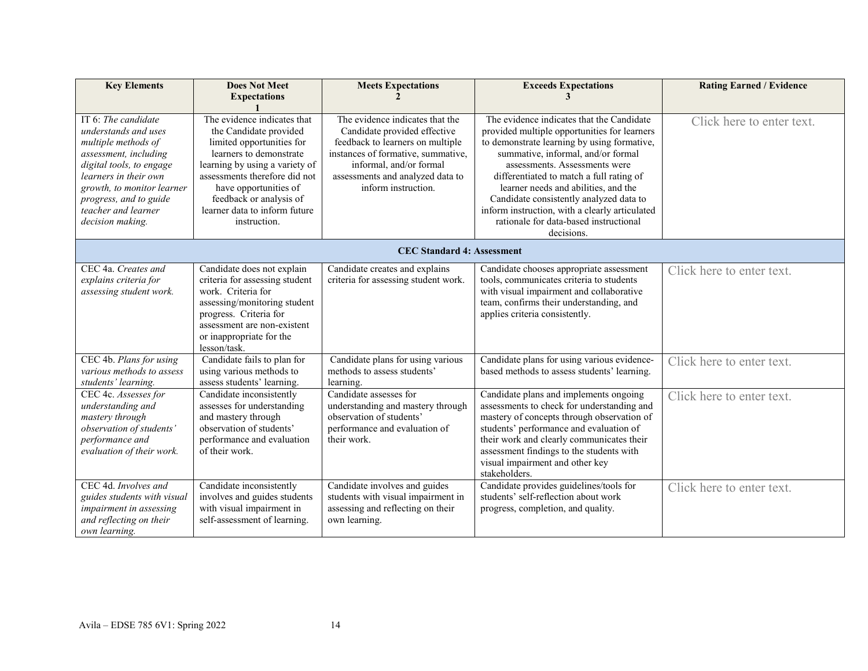| <b>Key Elements</b>                                                                                                                                                                                                                                 | <b>Does Not Meet</b><br><b>Expectations</b>                                                                                                                                                                                                                                           | <b>Meets Expectations</b>                                                                                                                                                                                                       | <b>Exceeds Expectations</b>                                                                                                                                                                                                                                                                                                                                                                                                                              | <b>Rating Earned / Evidence</b> |  |  |
|-----------------------------------------------------------------------------------------------------------------------------------------------------------------------------------------------------------------------------------------------------|---------------------------------------------------------------------------------------------------------------------------------------------------------------------------------------------------------------------------------------------------------------------------------------|---------------------------------------------------------------------------------------------------------------------------------------------------------------------------------------------------------------------------------|----------------------------------------------------------------------------------------------------------------------------------------------------------------------------------------------------------------------------------------------------------------------------------------------------------------------------------------------------------------------------------------------------------------------------------------------------------|---------------------------------|--|--|
| IT 6: The candidate<br>understands and uses<br>multiple methods of<br>assessment, including<br>digital tools, to engage<br>learners in their own<br>growth, to monitor learner<br>progress, and to guide<br>teacher and learner<br>decision making. | The evidence indicates that<br>the Candidate provided<br>limited opportunities for<br>learners to demonstrate<br>learning by using a variety of<br>assessments therefore did not<br>have opportunities of<br>feedback or analysis of<br>learner data to inform future<br>instruction. | The evidence indicates that the<br>Candidate provided effective<br>feedback to learners on multiple<br>instances of formative, summative,<br>informal, and/or formal<br>assessments and analyzed data to<br>inform instruction. | The evidence indicates that the Candidate<br>provided multiple opportunities for learners<br>to demonstrate learning by using formative,<br>summative, informal, and/or formal<br>assessments. Assessments were<br>differentiated to match a full rating of<br>learner needs and abilities, and the<br>Candidate consistently analyzed data to<br>inform instruction, with a clearly articulated<br>rationale for data-based instructional<br>decisions. | Click here to enter text.       |  |  |
|                                                                                                                                                                                                                                                     | <b>CEC Standard 4: Assessment</b>                                                                                                                                                                                                                                                     |                                                                                                                                                                                                                                 |                                                                                                                                                                                                                                                                                                                                                                                                                                                          |                                 |  |  |
| CEC 4a. Creates and<br>explains criteria for<br>assessing student work.                                                                                                                                                                             | Candidate does not explain<br>criteria for assessing student<br>work. Criteria for<br>assessing/monitoring student<br>progress. Criteria for<br>assessment are non-existent<br>or inappropriate for the<br>lesson/task.                                                               | Candidate creates and explains<br>criteria for assessing student work.                                                                                                                                                          | Candidate chooses appropriate assessment<br>tools, communicates criteria to students<br>with visual impairment and collaborative<br>team, confirms their understanding, and<br>applies criteria consistently.                                                                                                                                                                                                                                            | Click here to enter text.       |  |  |
| CEC 4b. Plans for using<br>various methods to assess<br>students' learning.                                                                                                                                                                         | Candidate fails to plan for<br>using various methods to<br>assess students' learning.                                                                                                                                                                                                 | Candidate plans for using various<br>methods to assess students'<br>learning.                                                                                                                                                   | Candidate plans for using various evidence-<br>based methods to assess students' learning.                                                                                                                                                                                                                                                                                                                                                               | Click here to enter text.       |  |  |
| CEC 4c. Assesses for<br>understanding and<br>mastery through<br>observation of students'<br>performance and<br>evaluation of their work.                                                                                                            | Candidate inconsistently<br>assesses for understanding<br>and mastery through<br>observation of students'<br>performance and evaluation<br>of their work.                                                                                                                             | Candidate assesses for<br>understanding and mastery through<br>observation of students'<br>performance and evaluation of<br>their work.                                                                                         | Candidate plans and implements ongoing<br>assessments to check for understanding and<br>mastery of concepts through observation of<br>students' performance and evaluation of<br>their work and clearly communicates their<br>assessment findings to the students with<br>visual impairment and other key<br>stakeholders.                                                                                                                               | Click here to enter text.       |  |  |
| CEC 4d. Involves and<br>guides students with visual<br>impairment in assessing<br>and reflecting on their<br>own learning.                                                                                                                          | Candidate inconsistently<br>involves and guides students<br>with visual impairment in<br>self-assessment of learning.                                                                                                                                                                 | Candidate involves and guides<br>students with visual impairment in<br>assessing and reflecting on their<br>own learning.                                                                                                       | Candidate provides guidelines/tools for<br>students' self-reflection about work<br>progress, completion, and quality.                                                                                                                                                                                                                                                                                                                                    | Click here to enter text.       |  |  |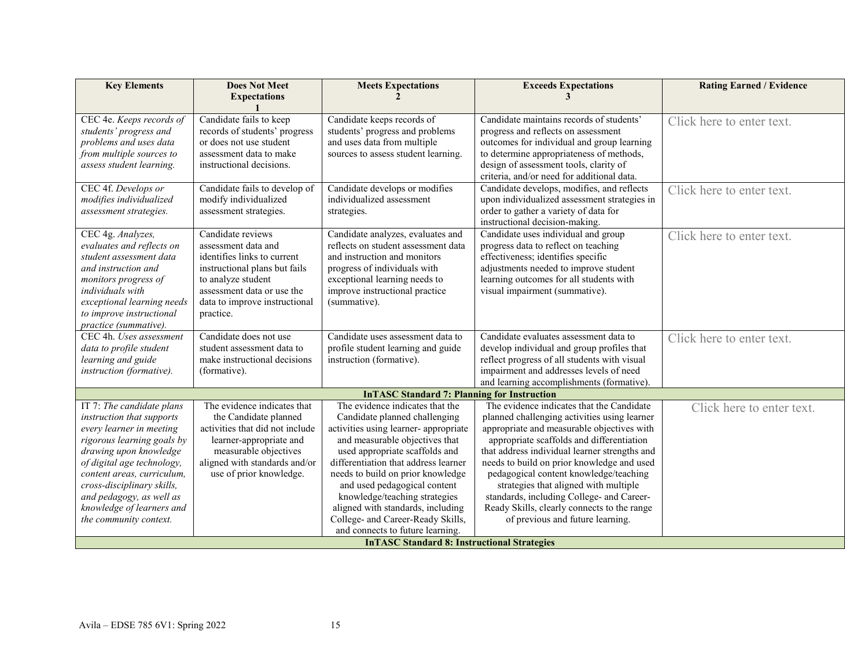| <b>Expectations</b><br>Candidate fails to keep<br>records of students' progress<br>or does not use student<br>assessment data to make<br>instructional decisions.<br>Candidate fails to develop of<br>modify individualized<br>assessment strategies.<br>strategies.<br>Candidate reviews<br>assessment data and | Candidate keeps records of<br>students' progress and problems<br>and uses data from multiple<br>sources to assess student learning.<br>Candidate develops or modifies<br>individualized assessment<br>Candidate analyzes, evaluates and | Candidate maintains records of students'<br>progress and reflects on assessment<br>outcomes for individual and group learning<br>to determine appropriateness of methods,<br>design of assessment tools, clarity of<br>criteria, and/or need for additional data.<br>Candidate develops, modifies, and reflects<br>upon individualized assessment strategies in<br>order to gather a variety of data for<br>instructional decision-making.            | Click here to enter text.<br>Click here to enter text.                                              |
|------------------------------------------------------------------------------------------------------------------------------------------------------------------------------------------------------------------------------------------------------------------------------------------------------------------|-----------------------------------------------------------------------------------------------------------------------------------------------------------------------------------------------------------------------------------------|-------------------------------------------------------------------------------------------------------------------------------------------------------------------------------------------------------------------------------------------------------------------------------------------------------------------------------------------------------------------------------------------------------------------------------------------------------|-----------------------------------------------------------------------------------------------------|
|                                                                                                                                                                                                                                                                                                                  |                                                                                                                                                                                                                                         |                                                                                                                                                                                                                                                                                                                                                                                                                                                       |                                                                                                     |
|                                                                                                                                                                                                                                                                                                                  |                                                                                                                                                                                                                                         |                                                                                                                                                                                                                                                                                                                                                                                                                                                       |                                                                                                     |
|                                                                                                                                                                                                                                                                                                                  |                                                                                                                                                                                                                                         |                                                                                                                                                                                                                                                                                                                                                                                                                                                       |                                                                                                     |
| identifies links to current<br>instructional plans but fails<br>to analyze student<br>assessment data or use the<br>data to improve instructional<br>(summative).                                                                                                                                                | reflects on student assessment data<br>and instruction and monitors<br>progress of individuals with<br>exceptional learning needs to<br>improve instructional practice                                                                  | Candidate uses individual and group<br>progress data to reflect on teaching<br>effectiveness; identifies specific<br>adjustments needed to improve student<br>learning outcomes for all students with<br>visual impairment (summative).                                                                                                                                                                                                               | Click here to enter text.                                                                           |
| Candidate does not use<br>student assessment data to<br>make instructional decisions<br>(formative).                                                                                                                                                                                                             | Candidate uses assessment data to<br>profile student learning and guide<br>instruction (formative).                                                                                                                                     | Candidate evaluates assessment data to<br>develop individual and group profiles that<br>reflect progress of all students with visual<br>impairment and addresses levels of need<br>and learning accomplishments (formative).                                                                                                                                                                                                                          | Click here to enter text.                                                                           |
|                                                                                                                                                                                                                                                                                                                  | <b>InTASC Standard 7: Planning for Instruction</b>                                                                                                                                                                                      |                                                                                                                                                                                                                                                                                                                                                                                                                                                       |                                                                                                     |
| The evidence indicates that<br>the Candidate planned<br>activities that did not include<br>learner-appropriate and<br>measurable objectives<br>aligned with standards and/or<br>use of prior knowledge.                                                                                                          | The evidence indicates that the<br>Candidate planned challenging<br>activities using learner-appropriate                                                                                                                                | The evidence indicates that the Candidate<br>planned challenging activities using learner<br>appropriate and measurable objectives with<br>appropriate scaffolds and differentiation<br>needs to build on prior knowledge and used<br>pedagogical content knowledge/teaching<br>strategies that aligned with multiple<br>standards, including College- and Career-<br>Ready Skills, clearly connects to the range<br>of previous and future learning. | Click here to enter text.                                                                           |
|                                                                                                                                                                                                                                                                                                                  |                                                                                                                                                                                                                                         | and measurable objectives that<br>used appropriate scaffolds and<br>differentiation that address learner<br>needs to build on prior knowledge<br>and used pedagogical content<br>knowledge/teaching strategies<br>aligned with standards, including<br>College- and Career-Ready Skills,<br>and connects to future learning.                                                                                                                          | that address individual learner strengths and<br><b>InTASC Standard 8: Instructional Strategies</b> |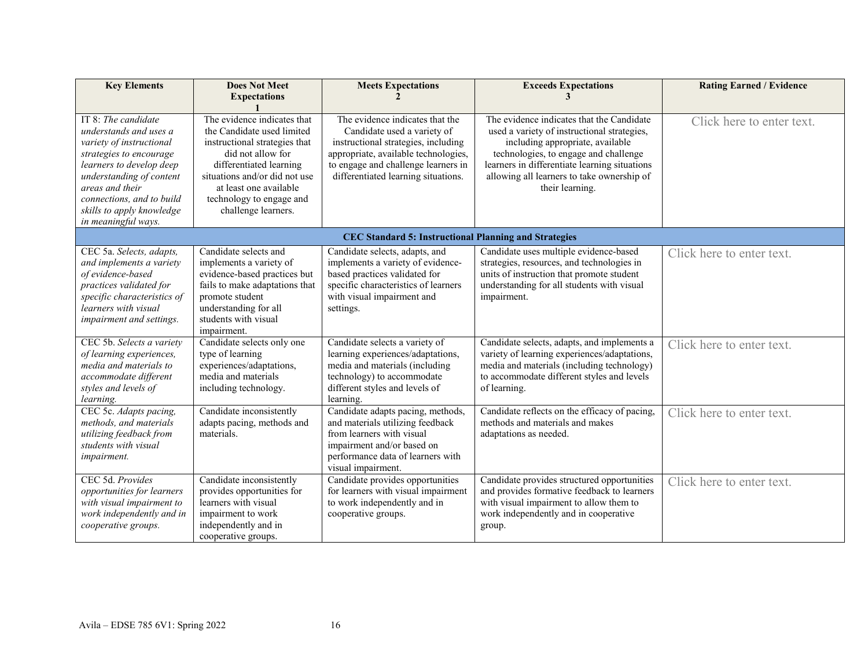| <b>Key Elements</b>                                                                                                                                                                                                                                                 | <b>Does Not Meet</b><br><b>Expectations</b>                                                                                                                                                                                                              | <b>Meets Expectations</b>                                                                                                                                                                                                   | <b>Exceeds Expectations</b>                                                                                                                                                                                                                                                             | <b>Rating Earned / Evidence</b> |
|---------------------------------------------------------------------------------------------------------------------------------------------------------------------------------------------------------------------------------------------------------------------|----------------------------------------------------------------------------------------------------------------------------------------------------------------------------------------------------------------------------------------------------------|-----------------------------------------------------------------------------------------------------------------------------------------------------------------------------------------------------------------------------|-----------------------------------------------------------------------------------------------------------------------------------------------------------------------------------------------------------------------------------------------------------------------------------------|---------------------------------|
| IT $8$ : The candidate<br>understands and uses a<br>variety of instructional<br>strategies to encourage<br>learners to develop deep<br>understanding of content<br>areas and their<br>connections, and to build<br>skills to apply knowledge<br>in meaningful ways. | The evidence indicates that<br>the Candidate used limited<br>instructional strategies that<br>did not allow for<br>differentiated learning<br>situations and/or did not use<br>at least one available<br>technology to engage and<br>challenge learners. | The evidence indicates that the<br>Candidate used a variety of<br>instructional strategies, including<br>appropriate, available technologies,<br>to engage and challenge learners in<br>differentiated learning situations. | The evidence indicates that the Candidate<br>used a variety of instructional strategies,<br>including appropriate, available<br>technologies, to engage and challenge<br>learners in differentiate learning situations<br>allowing all learners to take ownership of<br>their learning. | Click here to enter text.       |
|                                                                                                                                                                                                                                                                     |                                                                                                                                                                                                                                                          | <b>CEC Standard 5: Instructional Planning and Strategies</b>                                                                                                                                                                |                                                                                                                                                                                                                                                                                         |                                 |
| CEC 5a. Selects, adapts,<br>and implements a variety<br>of evidence-based<br>practices validated for<br>specific characteristics of<br>learners with visual<br>impairment and settings.                                                                             | Candidate selects and<br>implements a variety of<br>evidence-based practices but<br>fails to make adaptations that<br>promote student<br>understanding for all<br>students with visual<br>impairment.                                                    | Candidate selects, adapts, and<br>implements a variety of evidence-<br>based practices validated for<br>specific characteristics of learners<br>with visual impairment and<br>settings.                                     | Candidate uses multiple evidence-based<br>strategies, resources, and technologies in<br>units of instruction that promote student<br>understanding for all students with visual<br>impairment.                                                                                          | Click here to enter text.       |
| CEC 5b. Selects a variety<br>of learning experiences,<br>media and materials to<br>accommodate different<br>styles and levels of<br>learning.                                                                                                                       | Candidate selects only one<br>type of learning<br>experiences/adaptations,<br>media and materials<br>including technology.                                                                                                                               | Candidate selects a variety of<br>learning experiences/adaptations,<br>media and materials (including<br>technology) to accommodate<br>different styles and levels of<br>learning.                                          | Candidate selects, adapts, and implements a<br>variety of learning experiences/adaptations,<br>media and materials (including technology)<br>to accommodate different styles and levels<br>of learning.                                                                                 | Click here to enter text.       |
| CEC 5c. Adapts pacing,<br>methods, and materials<br>utilizing feedback from<br>students with visual<br>impairment.                                                                                                                                                  | Candidate inconsistently<br>adapts pacing, methods and<br>materials.                                                                                                                                                                                     | Candidate adapts pacing, methods,<br>and materials utilizing feedback<br>from learners with visual<br>impairment and/or based on<br>performance data of learners with<br>visual impairment.                                 | Candidate reflects on the efficacy of pacing,<br>methods and materials and makes<br>adaptations as needed.                                                                                                                                                                              | Click here to enter text.       |
| CEC 5d. Provides<br>opportunities for learners<br>with visual impairment to<br>work independently and in<br>cooperative groups.                                                                                                                                     | Candidate inconsistently<br>provides opportunities for<br>learners with visual<br>impairment to work<br>independently and in<br>cooperative groups.                                                                                                      | Candidate provides opportunities<br>for learners with visual impairment<br>to work independently and in<br>cooperative groups.                                                                                              | Candidate provides structured opportunities<br>and provides formative feedback to learners<br>with visual impairment to allow them to<br>work independently and in cooperative<br>group.                                                                                                | Click here to enter text.       |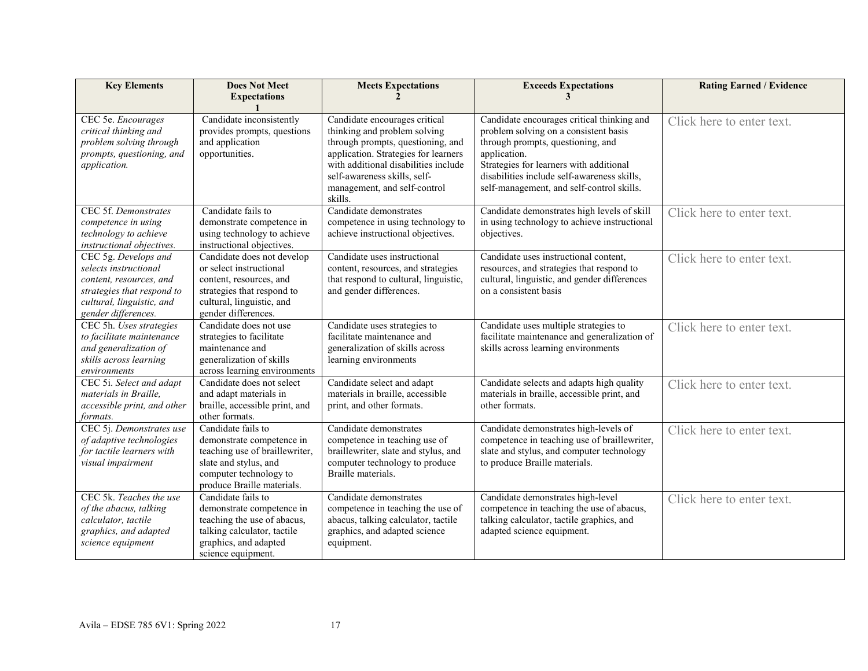| <b>Key Elements</b>                                                                                                                                        | <b>Does Not Meet</b><br><b>Expectations</b>                                                                                                                        | <b>Meets Expectations</b><br>$\mathcal{L}$                                                                                                                                                                                                                    | <b>Exceeds Expectations</b><br>3                                                                                                                                                                                                                                                | <b>Rating Earned / Evidence</b> |
|------------------------------------------------------------------------------------------------------------------------------------------------------------|--------------------------------------------------------------------------------------------------------------------------------------------------------------------|---------------------------------------------------------------------------------------------------------------------------------------------------------------------------------------------------------------------------------------------------------------|---------------------------------------------------------------------------------------------------------------------------------------------------------------------------------------------------------------------------------------------------------------------------------|---------------------------------|
|                                                                                                                                                            |                                                                                                                                                                    |                                                                                                                                                                                                                                                               |                                                                                                                                                                                                                                                                                 |                                 |
| CEC 5e. Encourages<br>critical thinking and<br>problem solving through<br>prompts, questioning, and<br>application.                                        | Candidate inconsistently<br>provides prompts, questions<br>and application<br>opportunities.                                                                       | Candidate encourages critical<br>thinking and problem solving<br>through prompts, questioning, and<br>application. Strategies for learners<br>with additional disabilities include<br>self-awareness skills, self-<br>management, and self-control<br>skills. | Candidate encourages critical thinking and<br>problem solving on a consistent basis<br>through prompts, questioning, and<br>application.<br>Strategies for learners with additional<br>disabilities include self-awareness skills,<br>self-management, and self-control skills. | Click here to enter text.       |
| CEC 5f. Demonstrates<br>competence in using<br>technology to achieve<br>instructional objectives.                                                          | Candidate fails to<br>demonstrate competence in<br>using technology to achieve<br>instructional objectives.                                                        | Candidate demonstrates<br>competence in using technology to<br>achieve instructional objectives.                                                                                                                                                              | Candidate demonstrates high levels of skill<br>in using technology to achieve instructional<br>objectives.                                                                                                                                                                      | Click here to enter text.       |
| CEC 5g. Develops and<br>selects instructional<br>content, resources, and<br>strategies that respond to<br>cultural, linguistic, and<br>gender differences. | Candidate does not develop<br>or select instructional<br>content, resources, and<br>strategies that respond to<br>cultural, linguistic, and<br>gender differences. | Candidate uses instructional<br>content, resources, and strategies<br>that respond to cultural, linguistic,<br>and gender differences.                                                                                                                        | Candidate uses instructional content,<br>resources, and strategies that respond to<br>cultural, linguistic, and gender differences<br>on a consistent basis                                                                                                                     | Click here to enter text.       |
| CEC 5h. Uses strategies<br>to facilitate maintenance<br>and generalization of<br>skills across learning<br>environments                                    | Candidate does not use<br>strategies to facilitate<br>maintenance and<br>generalization of skills<br>across learning environments                                  | Candidate uses strategies to<br>facilitate maintenance and<br>generalization of skills across<br>learning environments                                                                                                                                        | Candidate uses multiple strategies to<br>facilitate maintenance and generalization of<br>skills across learning environments                                                                                                                                                    | Click here to enter text.       |
| CEC 5i. Select and adapt<br>materials in Braille,<br>accessible print, and other<br>formats.                                                               | Candidate does not select<br>and adapt materials in<br>braille, accessible print, and<br>other formats.                                                            | Candidate select and adapt<br>materials in braille, accessible<br>print, and other formats.                                                                                                                                                                   | Candidate selects and adapts high quality<br>materials in braille, accessible print, and<br>other formats.                                                                                                                                                                      | Click here to enter text.       |
| CEC 5j. Demonstrates use<br>of adaptive technologies<br>for tactile learners with<br>visual impairment                                                     | Candidate fails to<br>demonstrate competence in<br>teaching use of braillewriter,<br>slate and stylus, and<br>computer technology to<br>produce Braille materials. | Candidate demonstrates<br>competence in teaching use of<br>braillewriter, slate and stylus, and<br>computer technology to produce<br>Braille materials.                                                                                                       | Candidate demonstrates high-levels of<br>competence in teaching use of braillewriter,<br>slate and stylus, and computer technology<br>to produce Braille materials.                                                                                                             | Click here to enter text.       |
| CEC 5k. Teaches the use<br>of the abacus, talking<br>calculator, tactile<br>graphics, and adapted<br>science equipment                                     | Candidate fails to<br>demonstrate competence in<br>teaching the use of abacus,<br>talking calculator, tactile<br>graphics, and adapted<br>science equipment.       | Candidate demonstrates<br>competence in teaching the use of<br>abacus, talking calculator, tactile<br>graphics, and adapted science<br>equipment.                                                                                                             | Candidate demonstrates high-level<br>competence in teaching the use of abacus,<br>talking calculator, tactile graphics, and<br>adapted science equipment.                                                                                                                       | Click here to enter text.       |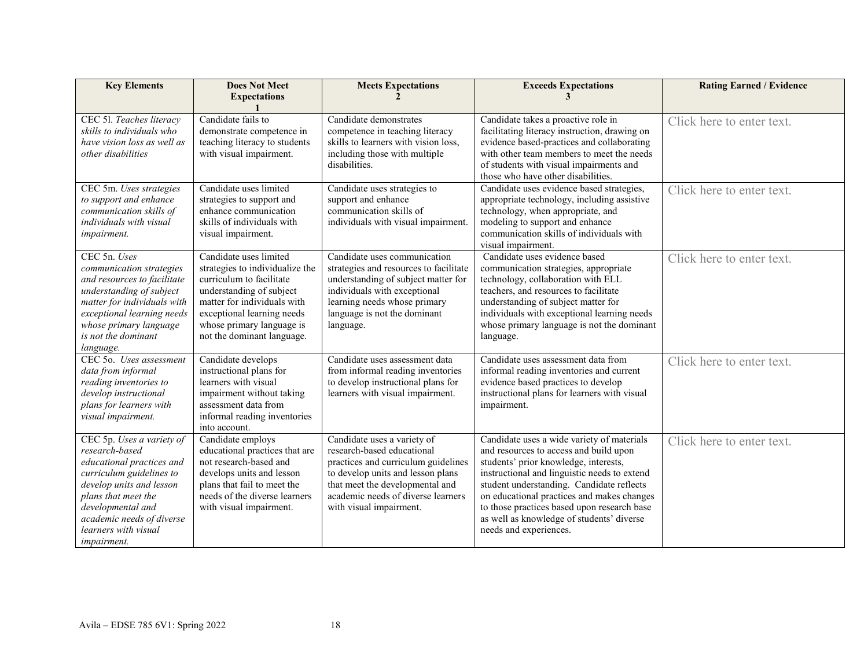| <b>Key Elements</b>                                                                                                                                                                                                                                     | <b>Does Not Meet</b><br><b>Expectations</b>                                                                                                                                                                                               | <b>Meets Expectations</b>                                                                                                                                                                                                                 | <b>Exceeds Expectations</b>                                                                                                                                                                                                                                                                                                                                                                    | <b>Rating Earned / Evidence</b> |
|---------------------------------------------------------------------------------------------------------------------------------------------------------------------------------------------------------------------------------------------------------|-------------------------------------------------------------------------------------------------------------------------------------------------------------------------------------------------------------------------------------------|-------------------------------------------------------------------------------------------------------------------------------------------------------------------------------------------------------------------------------------------|------------------------------------------------------------------------------------------------------------------------------------------------------------------------------------------------------------------------------------------------------------------------------------------------------------------------------------------------------------------------------------------------|---------------------------------|
| CEC 51. Teaches literacy<br>skills to individuals who<br>have vision loss as well as<br>other disabilities                                                                                                                                              | Candidate fails to<br>demonstrate competence in<br>teaching literacy to students<br>with visual impairment.                                                                                                                               | Candidate demonstrates<br>competence in teaching literacy<br>skills to learners with vision loss,<br>including those with multiple<br>disabilities.                                                                                       | Candidate takes a proactive role in<br>facilitating literacy instruction, drawing on<br>evidence based-practices and collaborating<br>with other team members to meet the needs<br>of students with visual impairments and<br>those who have other disabilities.                                                                                                                               | Click here to enter text.       |
| CEC 5m. Uses strategies<br>to support and enhance<br>communication skills of<br>individuals with visual<br>impairment.                                                                                                                                  | Candidate uses limited<br>strategies to support and<br>enhance communication<br>skills of individuals with<br>visual impairment.                                                                                                          | Candidate uses strategies to<br>support and enhance<br>communication skills of<br>individuals with visual impairment.                                                                                                                     | Candidate uses evidence based strategies,<br>appropriate technology, including assistive<br>technology, when appropriate, and<br>modeling to support and enhance<br>communication skills of individuals with<br>visual impairment.                                                                                                                                                             | Click here to enter text.       |
| CEC 5n. Uses<br>communication strategies<br>and resources to facilitate<br>understanding of subject<br>matter for individuals with<br>exceptional learning needs<br>whose primary language<br>is not the dominant<br>language.                          | Candidate uses limited<br>strategies to individualize the<br>curriculum to facilitate<br>understanding of subject<br>matter for individuals with<br>exceptional learning needs<br>whose primary language is<br>not the dominant language. | Candidate uses communication<br>strategies and resources to facilitate<br>understanding of subject matter for<br>individuals with exceptional<br>learning needs whose primary<br>language is not the dominant<br>language.                | Candidate uses evidence based<br>communication strategies, appropriate<br>technology, collaboration with ELL<br>teachers, and resources to facilitate<br>understanding of subject matter for<br>individuals with exceptional learning needs<br>whose primary language is not the dominant<br>language.                                                                                         | Click here to enter text.       |
| CEC 50. Uses assessment<br>data from informal<br>reading inventories to<br>develop instructional<br>plans for learners with<br>visual impairment.                                                                                                       | Candidate develops<br>instructional plans for<br>learners with visual<br>impairment without taking<br>assessment data from<br>informal reading inventories<br>into account.                                                               | Candidate uses assessment data<br>from informal reading inventories<br>to develop instructional plans for<br>learners with visual impairment.                                                                                             | Candidate uses assessment data from<br>informal reading inventories and current<br>evidence based practices to develop<br>instructional plans for learners with visual<br>impairment.                                                                                                                                                                                                          | Click here to enter text.       |
| CEC 5p. Uses a variety of<br>research-based<br>educational practices and<br>curriculum guidelines to<br>develop units and lesson<br>plans that meet the<br>developmental and<br>academic needs of diverse<br>learners with visual<br><i>impairment.</i> | Candidate employs<br>educational practices that are<br>not research-based and<br>develops units and lesson<br>plans that fail to meet the<br>needs of the diverse learners<br>with visual impairment.                                     | Candidate uses a variety of<br>research-based educational<br>practices and curriculum guidelines<br>to develop units and lesson plans<br>that meet the developmental and<br>academic needs of diverse learners<br>with visual impairment. | Candidate uses a wide variety of materials<br>and resources to access and build upon<br>students' prior knowledge, interests,<br>instructional and linguistic needs to extend<br>student understanding. Candidate reflects<br>on educational practices and makes changes<br>to those practices based upon research base<br>as well as knowledge of students' diverse<br>needs and experiences. | Click here to enter text.       |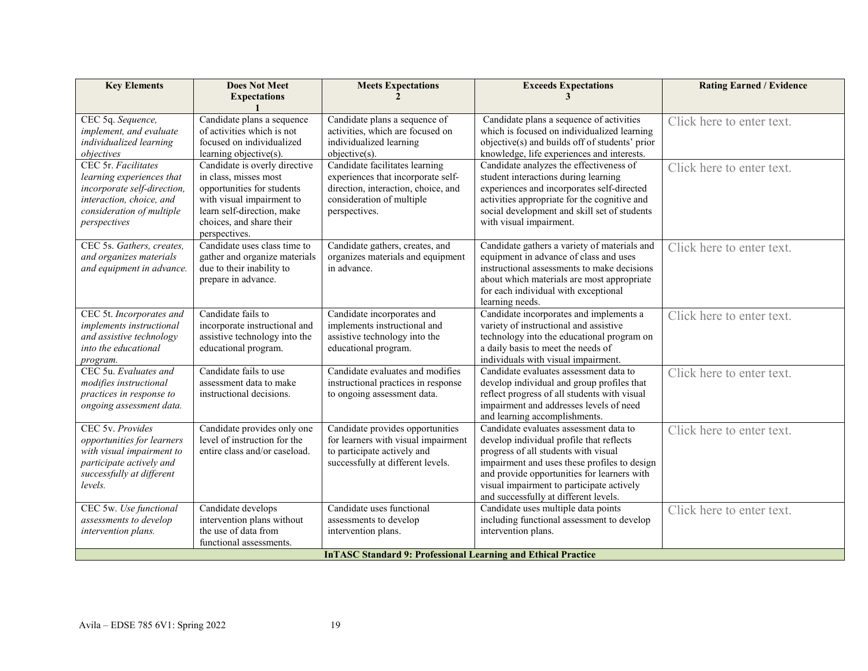| <b>Key Elements</b>                                                  | <b>Does Not Meet</b>          | <b>Meets Expectations</b>                                               | <b>Exceeds Expectations</b>                                                          | <b>Rating Earned / Evidence</b> |  |
|----------------------------------------------------------------------|-------------------------------|-------------------------------------------------------------------------|--------------------------------------------------------------------------------------|---------------------------------|--|
|                                                                      | <b>Expectations</b>           | $\mathfrak{D}$                                                          | 3                                                                                    |                                 |  |
| CEC 5q. Sequence,                                                    | Candidate plans a sequence    | Candidate plans a sequence of                                           | Candidate plans a sequence of activities                                             |                                 |  |
| implement, and evaluate                                              | of activities which is not    | activities, which are focused on                                        | which is focused on individualized learning                                          | Click here to enter text.       |  |
| individualized learning                                              | focused on individualized     | individualized learning                                                 | objective(s) and builds off of students' prior                                       |                                 |  |
| objectives                                                           | learning objective(s).        | objective(s).                                                           | knowledge, life experiences and interests.                                           |                                 |  |
| CEC 5r. Facilitates                                                  | Candidate is overly directive | Candidate facilitates learning                                          | Candidate analyzes the effectiveness of                                              | Click here to enter text.       |  |
| learning experiences that                                            | in class, misses most         | experiences that incorporate self-                                      | student interactions during learning                                                 |                                 |  |
| incorporate self-direction,                                          | opportunities for students    | direction, interaction, choice, and                                     | experiences and incorporates self-directed                                           |                                 |  |
| interaction, choice, and                                             | with visual impairment to     | consideration of multiple                                               | activities appropriate for the cognitive and                                         |                                 |  |
| consideration of multiple                                            | learn self-direction, make    | perspectives.                                                           | social development and skill set of students                                         |                                 |  |
| perspectives                                                         | choices, and share their      |                                                                         | with visual impairment.                                                              |                                 |  |
|                                                                      | perspectives.                 |                                                                         |                                                                                      |                                 |  |
| CEC 5s. Gathers, creates,                                            | Candidate uses class time to  | Candidate gathers, creates, and                                         | Candidate gathers a variety of materials and                                         | Click here to enter text.       |  |
| and organizes materials                                              | gather and organize materials | organizes materials and equipment                                       | equipment in advance of class and uses                                               |                                 |  |
| and equipment in advance.                                            | due to their inability to     | in advance.                                                             | instructional assessments to make decisions                                          |                                 |  |
|                                                                      | prepare in advance.           |                                                                         | about which materials are most appropriate                                           |                                 |  |
|                                                                      |                               |                                                                         | for each individual with exceptional                                                 |                                 |  |
|                                                                      |                               |                                                                         | learning needs.                                                                      |                                 |  |
| CEC 5t. Incorporates and                                             | Candidate fails to            | Candidate incorporates and                                              | Candidate incorporates and implements a                                              | Click here to enter text.       |  |
| implements instructional                                             | incorporate instructional and | implements instructional and                                            | variety of instructional and assistive                                               |                                 |  |
| and assistive technology                                             | assistive technology into the | assistive technology into the                                           | technology into the educational program on                                           |                                 |  |
| into the educational                                                 | educational program.          | educational program.                                                    | a daily basis to meet the needs of                                                   |                                 |  |
| program.<br>CEC 5u. Evaluates and                                    | Candidate fails to use        |                                                                         | individuals with visual impairment.                                                  |                                 |  |
| modifies instructional                                               | assessment data to make       | Candidate evaluates and modifies<br>instructional practices in response | Candidate evaluates assessment data to<br>develop individual and group profiles that | Click here to enter text.       |  |
| practices in response to                                             | instructional decisions.      | to ongoing assessment data.                                             | reflect progress of all students with visual                                         |                                 |  |
| ongoing assessment data.                                             |                               |                                                                         | impairment and addresses levels of need                                              |                                 |  |
|                                                                      |                               |                                                                         | and learning accomplishments.                                                        |                                 |  |
| CEC 5v. Provides                                                     | Candidate provides only one   | Candidate provides opportunities                                        | Candidate evaluates assessment data to                                               | Click here to enter text.       |  |
| opportunities for learners                                           | level of instruction for the  | for learners with visual impairment                                     | develop individual profile that reflects                                             |                                 |  |
| with visual impairment to                                            | entire class and/or caseload. | to participate actively and                                             | progress of all students with visual                                                 |                                 |  |
| participate actively and                                             |                               | successfully at different levels.                                       | impairment and uses these profiles to design                                         |                                 |  |
| successfully at different                                            |                               |                                                                         | and provide opportunities for learners with                                          |                                 |  |
| levels.                                                              |                               |                                                                         | visual impairment to participate actively                                            |                                 |  |
|                                                                      |                               |                                                                         | and successfully at different levels.                                                |                                 |  |
| CEC 5w. Use functional                                               | Candidate develops            | Candidate uses functional                                               | Candidate uses multiple data points                                                  | Click here to enter text.       |  |
| assessments to develop                                               | intervention plans without    | assessments to develop                                                  | including functional assessment to develop                                           |                                 |  |
| intervention plans.                                                  | the use of data from          | intervention plans.                                                     | intervention plans.                                                                  |                                 |  |
|                                                                      | functional assessments.       |                                                                         |                                                                                      |                                 |  |
| <b>InTASC Standard 9: Professional Learning and Ethical Practice</b> |                               |                                                                         |                                                                                      |                                 |  |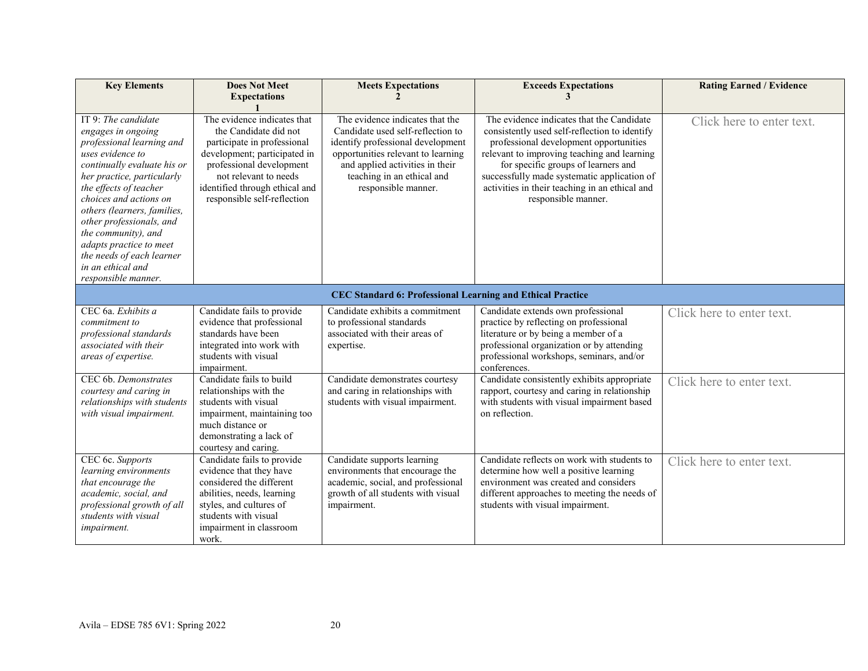| <b>Key Elements</b>                                                                                                                                                                                                                                                                                                                                                                               | <b>Does Not Meet</b><br><b>Expectations</b>                                                                                                                                                                                               | <b>Meets Expectations</b>                                                                                                                                                                                                               | <b>Exceeds Expectations</b>                                                                                                                                                                                                                                                                                                                        | <b>Rating Earned / Evidence</b> |  |
|---------------------------------------------------------------------------------------------------------------------------------------------------------------------------------------------------------------------------------------------------------------------------------------------------------------------------------------------------------------------------------------------------|-------------------------------------------------------------------------------------------------------------------------------------------------------------------------------------------------------------------------------------------|-----------------------------------------------------------------------------------------------------------------------------------------------------------------------------------------------------------------------------------------|----------------------------------------------------------------------------------------------------------------------------------------------------------------------------------------------------------------------------------------------------------------------------------------------------------------------------------------------------|---------------------------------|--|
| IT 9: The candidate<br>engages in ongoing<br>professional learning and<br>uses evidence to<br>continually evaluate his or<br>her practice, particularly<br>the effects of teacher<br>choices and actions on<br>others (learners, families,<br>other professionals, and<br>the community), and<br>adapts practice to meet<br>the needs of each learner<br>in an ethical and<br>responsible manner. | The evidence indicates that<br>the Candidate did not<br>participate in professional<br>development; participated in<br>professional development<br>not relevant to needs<br>identified through ethical and<br>responsible self-reflection | The evidence indicates that the<br>Candidate used self-reflection to<br>identify professional development<br>opportunities relevant to learning<br>and applied activities in their<br>teaching in an ethical and<br>responsible manner. | The evidence indicates that the Candidate<br>consistently used self-reflection to identify<br>professional development opportunities<br>relevant to improving teaching and learning<br>for specific groups of learners and<br>successfully made systematic application of<br>activities in their teaching in an ethical and<br>responsible manner. | Click here to enter text.       |  |
| <b>CEC Standard 6: Professional Learning and Ethical Practice</b>                                                                                                                                                                                                                                                                                                                                 |                                                                                                                                                                                                                                           |                                                                                                                                                                                                                                         |                                                                                                                                                                                                                                                                                                                                                    |                                 |  |
| CEC 6a. Exhibits a<br>commitment to<br>professional standards<br>associated with their<br>areas of expertise.                                                                                                                                                                                                                                                                                     | Candidate fails to provide<br>evidence that professional<br>standards have been<br>integrated into work with<br>students with visual<br>impairment.                                                                                       | Candidate exhibits a commitment<br>to professional standards<br>associated with their areas of<br>expertise.                                                                                                                            | Candidate extends own professional<br>practice by reflecting on professional<br>literature or by being a member of a<br>professional organization or by attending<br>professional workshops, seminars, and/or<br>conferences.                                                                                                                      | Click here to enter text.       |  |
| CEC 6b. Demonstrates<br>courtesy and caring in<br>relationships with students<br>with visual impairment.                                                                                                                                                                                                                                                                                          | Candidate fails to build<br>relationships with the<br>students with visual<br>impairment, maintaining too<br>much distance or<br>demonstrating a lack of<br>courtesy and caring.                                                          | Candidate demonstrates courtesy<br>and caring in relationships with<br>students with visual impairment.                                                                                                                                 | Candidate consistently exhibits appropriate<br>rapport, courtesy and caring in relationship<br>with students with visual impairment based<br>on reflection.                                                                                                                                                                                        | Click here to enter text.       |  |
| CEC 6c. Supports<br>learning environments<br>that encourage the<br>academic, social, and<br>professional growth of all<br>students with visual<br>impairment.                                                                                                                                                                                                                                     | Candidate fails to provide<br>evidence that they have<br>considered the different<br>abilities, needs, learning<br>styles, and cultures of<br>students with visual<br>impairment in classroom<br>work.                                    | Candidate supports learning<br>environments that encourage the<br>academic, social, and professional<br>growth of all students with visual<br>impairment.                                                                               | Candidate reflects on work with students to<br>determine how well a positive learning<br>environment was created and considers<br>different approaches to meeting the needs of<br>students with visual impairment.                                                                                                                                 | Click here to enter text.       |  |

#### Avila – EDSE 785 6V1: Spring 2022 20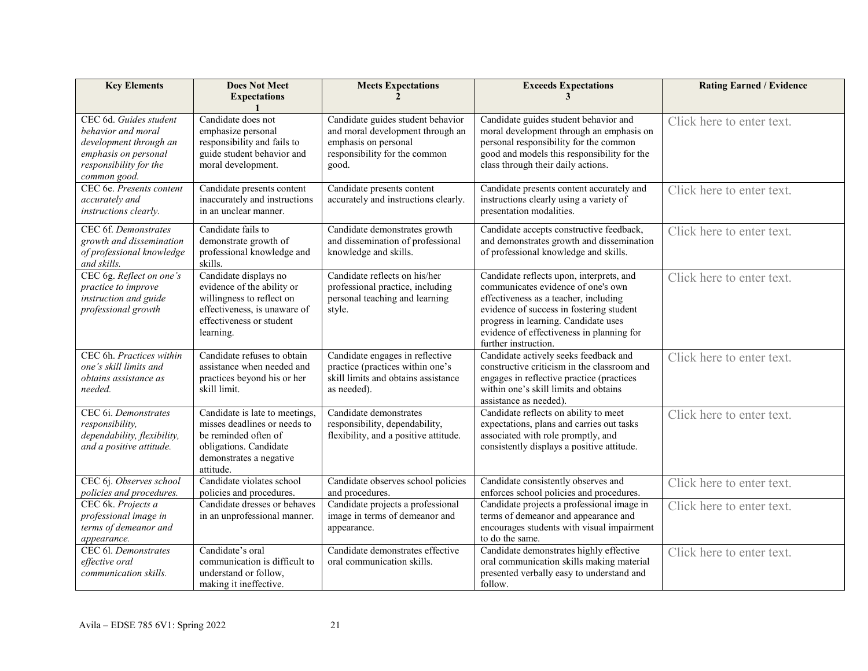| <b>Key Elements</b>                                                                                                                      | <b>Does Not Meet</b><br><b>Expectations</b>                                                                                                               | <b>Meets Expectations</b>                                                                                                               | <b>Exceeds Expectations</b>                                                                                                                                                                                                                                                      | <b>Rating Earned / Evidence</b> |
|------------------------------------------------------------------------------------------------------------------------------------------|-----------------------------------------------------------------------------------------------------------------------------------------------------------|-----------------------------------------------------------------------------------------------------------------------------------------|----------------------------------------------------------------------------------------------------------------------------------------------------------------------------------------------------------------------------------------------------------------------------------|---------------------------------|
|                                                                                                                                          |                                                                                                                                                           |                                                                                                                                         |                                                                                                                                                                                                                                                                                  |                                 |
| CEC 6d. Guides student<br>behavior and moral<br>development through an<br>emphasis on personal<br>responsibility for the<br>common good. | Candidate does not<br>emphasize personal<br>responsibility and fails to<br>guide student behavior and<br>moral development.                               | Candidate guides student behavior<br>and moral development through an<br>emphasis on personal<br>responsibility for the common<br>good. | Candidate guides student behavior and<br>moral development through an emphasis on<br>personal responsibility for the common<br>good and models this responsibility for the<br>class through their daily actions.                                                                 | Click here to enter text.       |
| CEC 6e. Presents content<br>accurately and<br>instructions clearly.                                                                      | Candidate presents content<br>inaccurately and instructions<br>in an unclear manner.                                                                      | Candidate presents content<br>accurately and instructions clearly.                                                                      | Candidate presents content accurately and<br>instructions clearly using a variety of<br>presentation modalities.                                                                                                                                                                 | Click here to enter text.       |
| CEC 6f. Demonstrates<br>growth and dissemination<br>of professional knowledge<br>and skills.                                             | Candidate fails to<br>demonstrate growth of<br>professional knowledge and<br>skills.                                                                      | Candidate demonstrates growth<br>and dissemination of professional<br>knowledge and skills.                                             | Candidate accepts constructive feedback,<br>and demonstrates growth and dissemination<br>of professional knowledge and skills.                                                                                                                                                   | Click here to enter text.       |
| CEC 6g. Reflect on one's<br>practice to improve<br>instruction and guide<br>professional growth                                          | Candidate displays no<br>evidence of the ability or<br>willingness to reflect on<br>effectiveness, is unaware of<br>effectiveness or student<br>learning. | Candidate reflects on his/her<br>professional practice, including<br>personal teaching and learning<br>style.                           | Candidate reflects upon, interprets, and<br>communicates evidence of one's own<br>effectiveness as a teacher, including<br>evidence of success in fostering student<br>progress in learning. Candidate uses<br>evidence of effectiveness in planning for<br>further instruction. | Click here to enter text.       |
| CEC 6h. Practices within<br>one's skill limits and<br>obtains assistance as<br>needed.                                                   | Candidate refuses to obtain<br>assistance when needed and<br>practices beyond his or her<br>skill limit.                                                  | Candidate engages in reflective<br>practice (practices within one's<br>skill limits and obtains assistance<br>as needed).               | Candidate actively seeks feedback and<br>constructive criticism in the classroom and<br>engages in reflective practice (practices<br>within one's skill limits and obtains<br>assistance as needed).                                                                             | Click here to enter text.       |
| CEC 6i. Demonstrates<br>responsibility,<br>dependability, flexibility,<br>and a positive attitude.                                       | Candidate is late to meetings,<br>misses deadlines or needs to<br>be reminded often of<br>obligations. Candidate<br>demonstrates a negative<br>attitude.  | Candidate demonstrates<br>responsibility, dependability,<br>flexibility, and a positive attitude.                                       | Candidate reflects on ability to meet<br>expectations, plans and carries out tasks<br>associated with role promptly, and<br>consistently displays a positive attitude.                                                                                                           | Click here to enter text.       |
| CEC 6j. Observes school<br>policies and procedures.                                                                                      | Candidate violates school<br>policies and procedures.                                                                                                     | Candidate observes school policies<br>and procedures.                                                                                   | Candidate consistently observes and<br>enforces school policies and procedures.                                                                                                                                                                                                  | Click here to enter text.       |
| CEC 6k. Projects a<br>professional image in<br>terms of demeanor and<br>appearance.                                                      | Candidate dresses or behaves<br>in an unprofessional manner.                                                                                              | Candidate projects a professional<br>image in terms of demeanor and<br>appearance.                                                      | Candidate projects a professional image in<br>terms of demeanor and appearance and<br>encourages students with visual impairment<br>to do the same.                                                                                                                              | Click here to enter text.       |
| CEC 61. Demonstrates<br>effective oral<br>communication skills.                                                                          | Candidate's oral<br>communication is difficult to<br>understand or follow,<br>making it ineffective.                                                      | Candidate demonstrates effective<br>oral communication skills.                                                                          | Candidate demonstrates highly effective<br>oral communication skills making material<br>presented verbally easy to understand and<br>follow.                                                                                                                                     | Click here to enter text.       |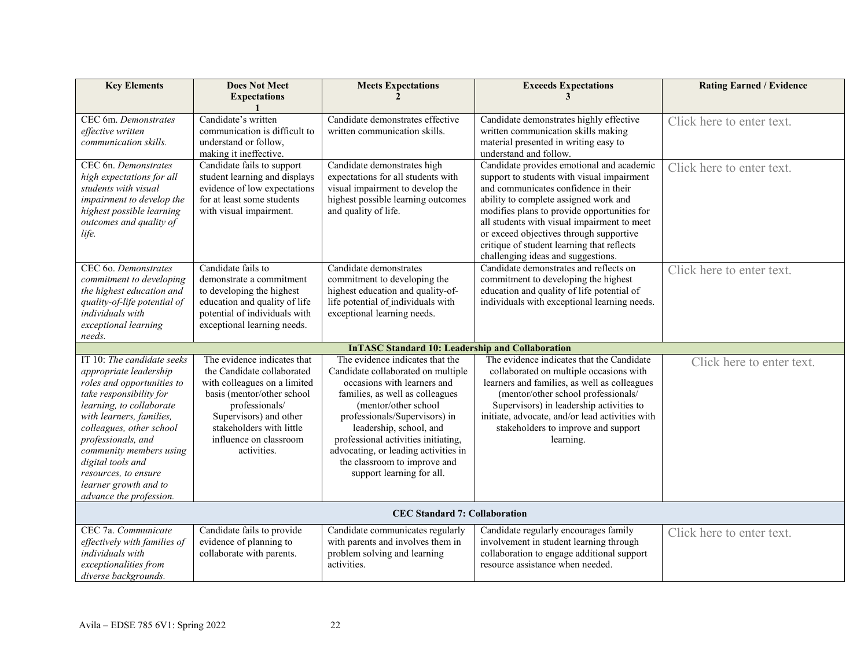| <b>Key Elements</b>                                                                                                                                                                                                                                                                                                                                 | <b>Does Not Meet</b><br><b>Expectations</b>                                                                                                                                                                                              | <b>Meets Expectations</b>                                                                                                                                                                                                                                                                                                                                                | <b>Exceeds Expectations</b><br>3                                                                                                                                                                                                                                                                                                                                                                      | <b>Rating Earned / Evidence</b> |  |  |  |
|-----------------------------------------------------------------------------------------------------------------------------------------------------------------------------------------------------------------------------------------------------------------------------------------------------------------------------------------------------|------------------------------------------------------------------------------------------------------------------------------------------------------------------------------------------------------------------------------------------|--------------------------------------------------------------------------------------------------------------------------------------------------------------------------------------------------------------------------------------------------------------------------------------------------------------------------------------------------------------------------|-------------------------------------------------------------------------------------------------------------------------------------------------------------------------------------------------------------------------------------------------------------------------------------------------------------------------------------------------------------------------------------------------------|---------------------------------|--|--|--|
|                                                                                                                                                                                                                                                                                                                                                     |                                                                                                                                                                                                                                          |                                                                                                                                                                                                                                                                                                                                                                          |                                                                                                                                                                                                                                                                                                                                                                                                       |                                 |  |  |  |
| CEC 6m. Demonstrates<br>effective written<br>communication skills.                                                                                                                                                                                                                                                                                  | Candidate's written<br>communication is difficult to<br>understand or follow,<br>making it ineffective.                                                                                                                                  | Candidate demonstrates effective<br>written communication skills.                                                                                                                                                                                                                                                                                                        | Candidate demonstrates highly effective<br>written communication skills making<br>material presented in writing easy to<br>understand and follow.                                                                                                                                                                                                                                                     | Click here to enter text.       |  |  |  |
| CEC 6n. Demonstrates<br>high expectations for all<br>students with visual<br>impairment to develop the<br>highest possible learning<br>outcomes and quality of<br>life.                                                                                                                                                                             | Candidate fails to support<br>student learning and displays<br>evidence of low expectations<br>for at least some students<br>with visual impairment.                                                                                     | Candidate demonstrates high<br>expectations for all students with<br>visual impairment to develop the<br>highest possible learning outcomes<br>and quality of life.                                                                                                                                                                                                      | Candidate provides emotional and academic<br>support to students with visual impairment<br>and communicates confidence in their<br>ability to complete assigned work and<br>modifies plans to provide opportunities for<br>all students with visual impairment to meet<br>or exceed objectives through supportive<br>critique of student learning that reflects<br>challenging ideas and suggestions. | Click here to enter text.       |  |  |  |
| CEC 60. Demonstrates<br>commitment to developing<br>the highest education and<br>quality-of-life potential of<br>individuals with<br>exceptional learning<br>needs.                                                                                                                                                                                 | Candidate fails to<br>demonstrate a commitment<br>to developing the highest<br>education and quality of life<br>potential of individuals with<br>exceptional learning needs.                                                             | Candidate demonstrates<br>commitment to developing the<br>highest education and quality-of-<br>life potential of individuals with<br>exceptional learning needs.                                                                                                                                                                                                         | Candidate demonstrates and reflects on<br>commitment to developing the highest<br>education and quality of life potential of<br>individuals with exceptional learning needs.                                                                                                                                                                                                                          | Click here to enter text.       |  |  |  |
| <b>InTASC Standard 10: Leadership and Collaboration</b>                                                                                                                                                                                                                                                                                             |                                                                                                                                                                                                                                          |                                                                                                                                                                                                                                                                                                                                                                          |                                                                                                                                                                                                                                                                                                                                                                                                       |                                 |  |  |  |
| IT 10: The candidate seeks<br>appropriate leadership<br>roles and opportunities to<br>take responsibility for<br>learning, to collaborate<br>with learners, families,<br>colleagues, other school<br>professionals, and<br>community members using<br>digital tools and<br>resources, to ensure<br>learner growth and to<br>advance the profession. | The evidence indicates that<br>the Candidate collaborated<br>with colleagues on a limited<br>basis (mentor/other school<br>professionals/<br>Supervisors) and other<br>stakeholders with little<br>influence on classroom<br>activities. | The evidence indicates that the<br>Candidate collaborated on multiple<br>occasions with learners and<br>families, as well as colleagues<br>(mentor/other school)<br>professionals/Supervisors) in<br>leadership, school, and<br>professional activities initiating,<br>advocating, or leading activities in<br>the classroom to improve and<br>support learning for all. | The evidence indicates that the Candidate<br>collaborated on multiple occasions with<br>learners and families, as well as colleagues<br>(mentor/other school professionals/<br>Supervisors) in leadership activities to<br>initiate, advocate, and/or lead activities with<br>stakeholders to improve and support<br>learning.                                                                        | Click here to enter text.       |  |  |  |
| <b>CEC Standard 7: Collaboration</b>                                                                                                                                                                                                                                                                                                                |                                                                                                                                                                                                                                          |                                                                                                                                                                                                                                                                                                                                                                          |                                                                                                                                                                                                                                                                                                                                                                                                       |                                 |  |  |  |
| CEC 7a. Communicate<br>effectively with families of<br>individuals with<br>exceptionalities from<br>diverse backgrounds.                                                                                                                                                                                                                            | Candidate fails to provide<br>evidence of planning to<br>collaborate with parents.                                                                                                                                                       | Candidate communicates regularly<br>with parents and involves them in<br>problem solving and learning<br>activities.                                                                                                                                                                                                                                                     | Candidate regularly encourages family<br>involvement in student learning through<br>collaboration to engage additional support<br>resource assistance when needed.                                                                                                                                                                                                                                    | Click here to enter text.       |  |  |  |